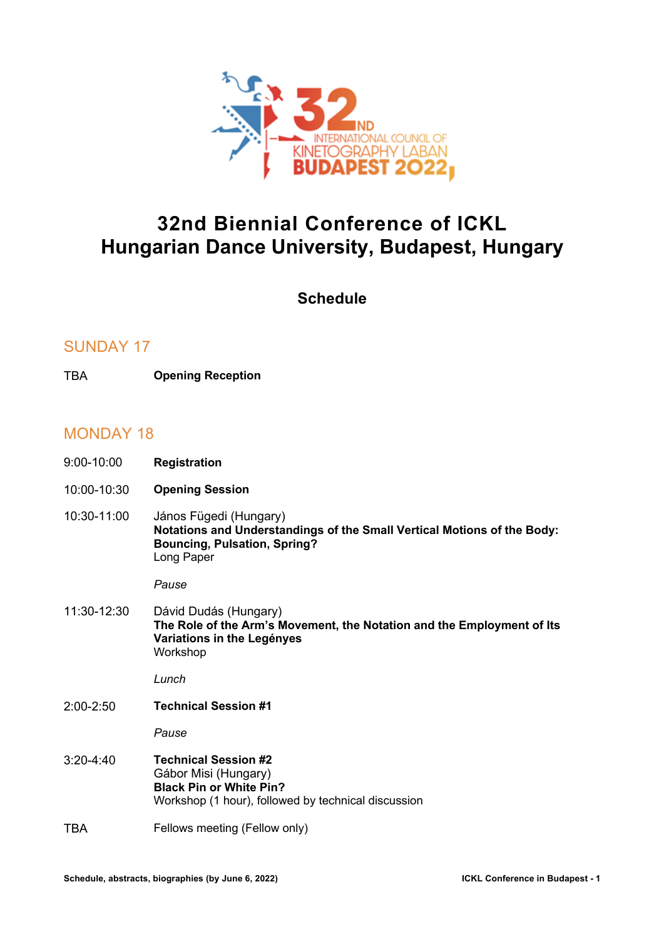

# **32nd Biennial Conference of ICKL Hungarian Dance University, Budapest, Hungary**

**Schedule**

## SUNDAY 17

TBA **Opening Reception**

## MONDAY 18

- 9:00-10:00 **Registration**
- 10:00-10:30 **Opening Session**
- 10:30-11:00 János Fügedi (Hungary) **Notations and Understandings of the Small Vertical Motions of the Body: Bouncing, Pulsation, Spring?** Long Paper

#### *Pause*

11:30-12:30 Dávid Dudás (Hungary) **The Role of the Arm's Movement, the Notation and the Employment of Its Variations in the Legényes** Workshop

*Lunch*

2:00-2:50 **Technical Session #1**

*Pause*

- 3:20-4:40 **Technical Session #2** Gábor Misi (Hungary) **Black Pin or White Pin?** Workshop (1 hour), followed by technical discussion
- TBA Fellows meeting (Fellow only)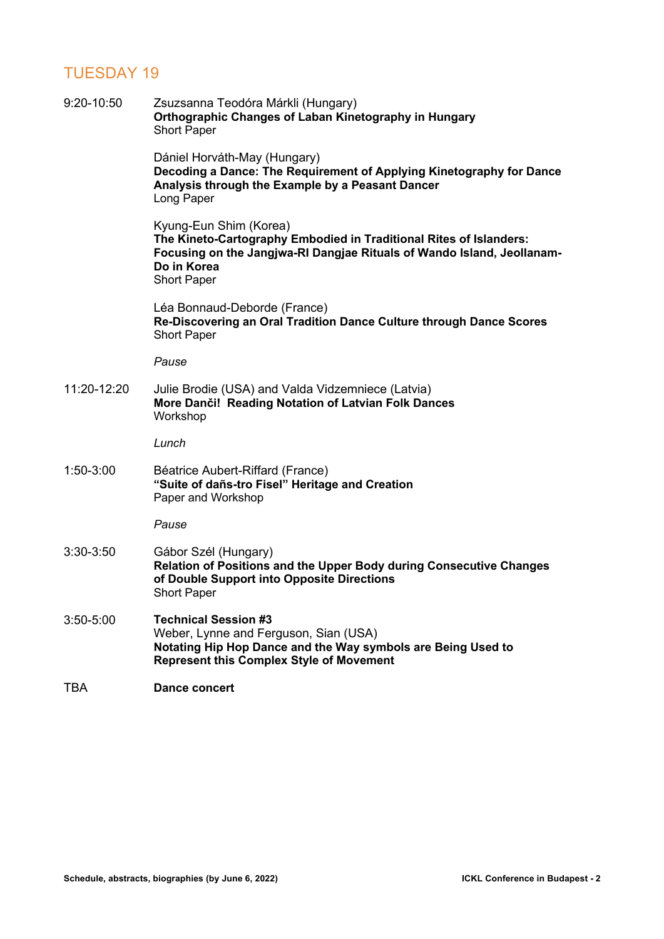## TUESDAY 19

| 9:20-10:50    | Zsuzsanna Teodóra Márkli (Hungary)<br>Orthographic Changes of Laban Kinetography in Hungary<br><b>Short Paper</b>                                                                                           |
|---------------|-------------------------------------------------------------------------------------------------------------------------------------------------------------------------------------------------------------|
|               | Dániel Horváth-May (Hungary)<br>Decoding a Dance: The Requirement of Applying Kinetography for Dance<br>Analysis through the Example by a Peasant Dancer<br>Long Paper                                      |
|               | Kyung-Eun Shim (Korea)<br>The Kineto-Cartography Embodied in Traditional Rites of Islanders:<br>Focusing on the Jangjwa-RI Dangjae Rituals of Wando Island, Jeollanam-<br>Do in Korea<br><b>Short Paper</b> |
|               | Léa Bonnaud-Deborde (France)<br>Re-Discovering an Oral Tradition Dance Culture through Dance Scores<br><b>Short Paper</b>                                                                                   |
|               | Pause                                                                                                                                                                                                       |
| 11:20-12:20   | Julie Brodie (USA) and Valda Vidzemniece (Latvia)<br>More Danči! Reading Notation of Latvian Folk Dances<br>Workshop                                                                                        |
|               | Lunch                                                                                                                                                                                                       |
| 1:50-3:00     | Béatrice Aubert-Riffard (France)<br>"Suite of dañs-tro Fisel" Heritage and Creation<br>Paper and Workshop                                                                                                   |
|               | Pause                                                                                                                                                                                                       |
| 3:30-3:50     | Gábor Szél (Hungary)<br>Relation of Positions and the Upper Body during Consecutive Changes<br>of Double Support into Opposite Directions<br><b>Short Paper</b>                                             |
| $3:50 - 5:00$ | <b>Technical Session #3</b><br>Weber, Lynne and Ferguson, Sian (USA)<br>Notating Hip Hop Dance and the Way symbols are Being Used to<br><b>Represent this Complex Style of Movement</b>                     |
| TBA           | <b>Dance concert</b>                                                                                                                                                                                        |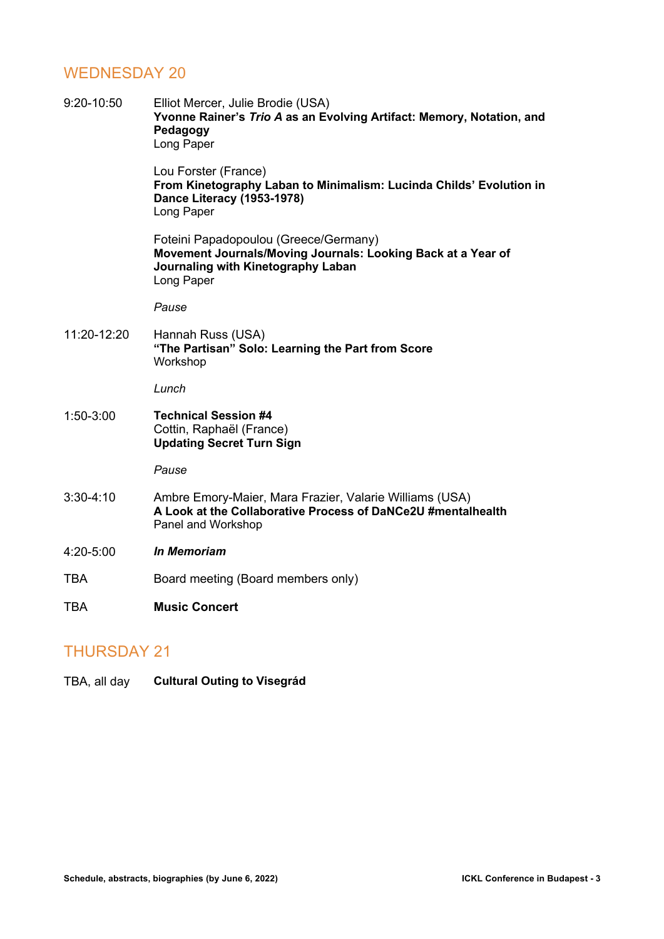## WEDNESDAY 20

| 9:20-10:50  | Elliot Mercer, Julie Brodie (USA)<br>Yvonne Rainer's Trio A as an Evolving Artifact: Memory, Notation, and<br>Pedagogy<br>Long Paper                      |
|-------------|-----------------------------------------------------------------------------------------------------------------------------------------------------------|
|             | Lou Forster (France)<br>From Kinetography Laban to Minimalism: Lucinda Childs' Evolution in<br><b>Dance Literacy (1953-1978)</b><br>Long Paper            |
|             | Foteini Papadopoulou (Greece/Germany)<br>Movement Journals/Moving Journals: Looking Back at a Year of<br>Journaling with Kinetography Laban<br>Long Paper |
|             | Pause                                                                                                                                                     |
| 11:20-12:20 | Hannah Russ (USA)<br>"The Partisan" Solo: Learning the Part from Score<br>Workshop                                                                        |
|             | Lunch                                                                                                                                                     |
| $1:50-3:00$ | <b>Technical Session #4</b><br>Cottin, Raphaël (France)<br><b>Updating Secret Turn Sign</b>                                                               |
|             | Pause                                                                                                                                                     |
| $3:30-4:10$ | Ambre Emory-Maier, Mara Frazier, Valarie Williams (USA)<br>A Look at the Collaborative Process of DaNCe2U #mentalhealth<br>Panel and Workshop             |
| 4:20-5:00   | <b>In Memoriam</b>                                                                                                                                        |
| <b>TBA</b>  | Board meeting (Board members only)                                                                                                                        |
| TBA         | <b>Music Concert</b>                                                                                                                                      |

## THURSDAY 21

TBA, all day **Cultural Outing to Visegrád**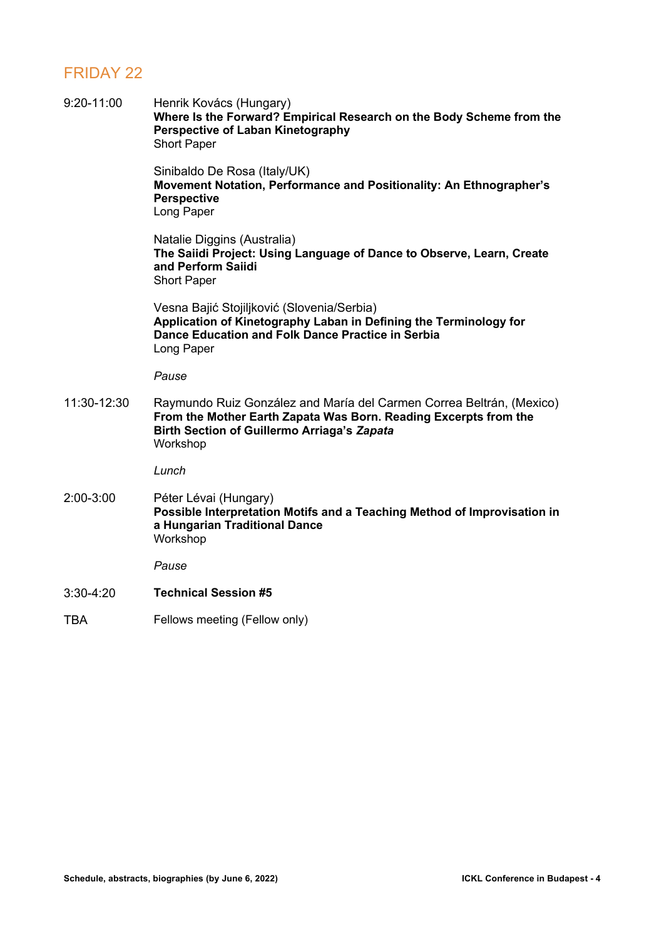## FRIDAY 22

| 9:20-11:00  | Henrik Kovács (Hungary)<br>Where Is the Forward? Empirical Research on the Body Scheme from the<br><b>Perspective of Laban Kinetography</b><br><b>Short Paper</b>                                          |
|-------------|------------------------------------------------------------------------------------------------------------------------------------------------------------------------------------------------------------|
|             | Sinibaldo De Rosa (Italy/UK)<br>Movement Notation, Performance and Positionality: An Ethnographer's<br><b>Perspective</b><br>Long Paper                                                                    |
|             | Natalie Diggins (Australia)<br>The Saiidi Project: Using Language of Dance to Observe, Learn, Create<br>and Perform Saiidi<br><b>Short Paper</b>                                                           |
|             | Vesna Bajić Stojiljković (Slovenia/Serbia)<br>Application of Kinetography Laban in Defining the Terminology for<br>Dance Education and Folk Dance Practice in Serbia<br>Long Paper                         |
|             | Pause                                                                                                                                                                                                      |
| 11:30-12:30 | Raymundo Ruiz González and María del Carmen Correa Beltrán, (Mexico)<br>From the Mother Earth Zapata Was Born. Reading Excerpts from the<br><b>Birth Section of Guillermo Arriaga's Zapata</b><br>Workshop |
|             | Lunch                                                                                                                                                                                                      |
| 2:00-3:00   | Péter Lévai (Hungary)<br>Possible Interpretation Motifs and a Teaching Method of Improvisation in<br>a Hungarian Traditional Dance<br>Workshop                                                             |
|             | Pause                                                                                                                                                                                                      |
| $3:30-4:20$ | <b>Technical Session #5</b>                                                                                                                                                                                |
| <b>TBA</b>  | Fellows meeting (Fellow only)                                                                                                                                                                              |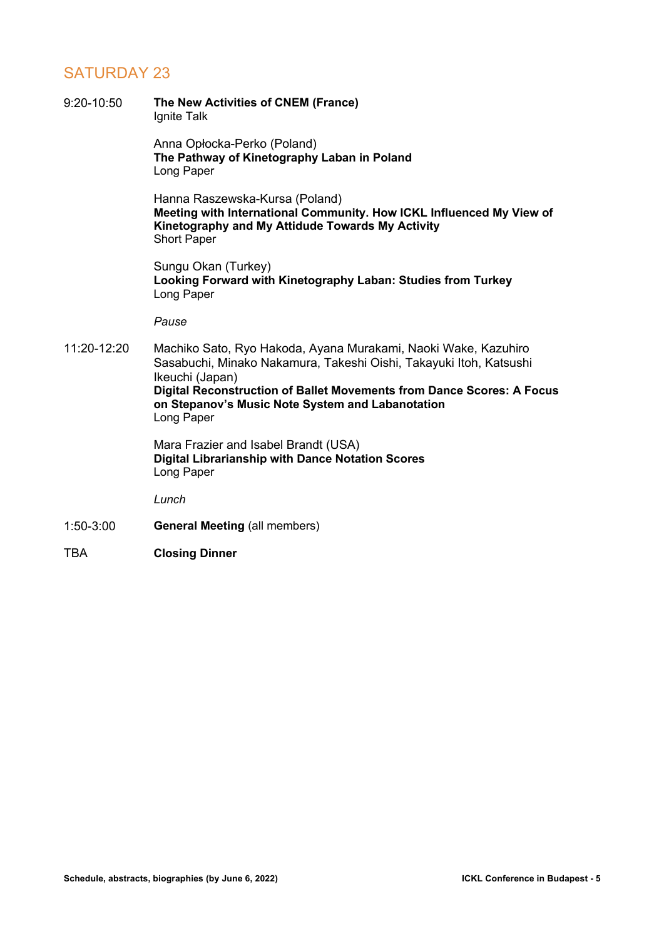## SATURDAY 23

- 9:20-10:50 **The New Activities of CNEM (France)** Ignite Talk Anna Opłocka-Perko (Poland) **The Pathway of Kinetography Laban in Poland** Long Paper Hanna Raszewska-Kursa (Poland) **Meeting with International Community. How ICKL Influenced My View of Kinetography and My Attidude Towards My Activity** Short Paper Sungu Okan (Turkey) **Looking Forward with Kinetography Laban: Studies from Turkey** Long Paper *Pause* 11:20-12:20 Machiko Sato, Ryo Hakoda, Ayana Murakami, Naoki Wake, Kazuhiro Sasabuchi, Minako Nakamura, Takeshi Oishi, Takayuki Itoh, Katsushi Ikeuchi (Japan) **Digital Reconstruction of Ballet Movements from Dance Scores: A Focus on Stepanov's Music Note System and Labanotation** Long Paper Mara Frazier and Isabel Brandt (USA) **Digital Librarianship with Dance Notation Scores** Long Paper *Lunch* 1:50-3:00 **General Meeting** (all members)
- TBA **Closing Dinner**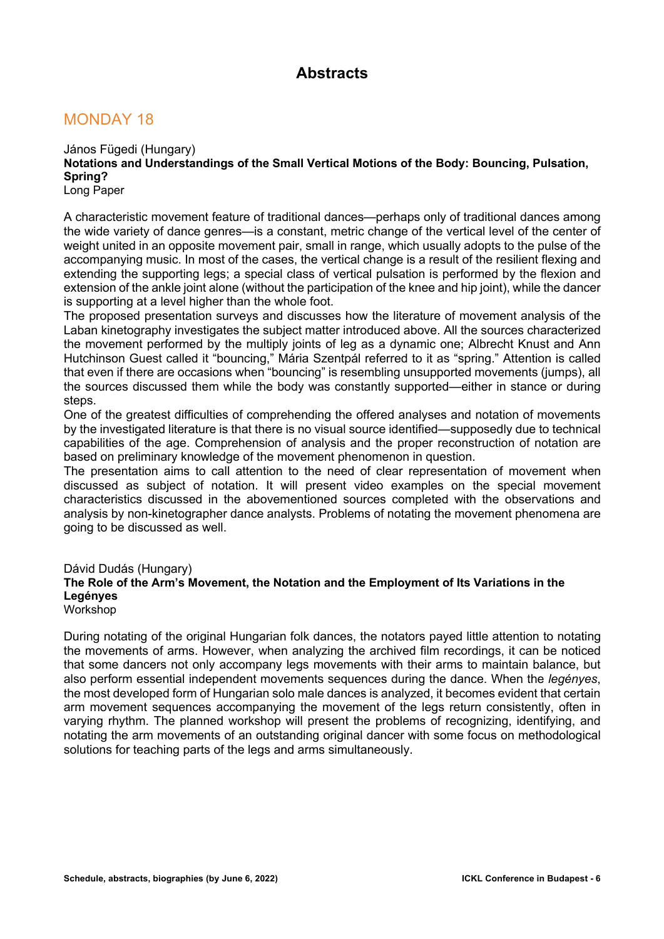## **Abstracts**

## MONDAY 18

János Fügedi (Hungary) **Notations and Understandings of the Small Vertical Motions of the Body: Bouncing, Pulsation, Spring?** Long Paper

A characteristic movement feature of traditional dances—perhaps only of traditional dances among the wide variety of dance genres—is a constant, metric change of the vertical level of the center of weight united in an opposite movement pair, small in range, which usually adopts to the pulse of the accompanying music. In most of the cases, the vertical change is a result of the resilient flexing and extending the supporting legs; a special class of vertical pulsation is performed by the flexion and extension of the ankle joint alone (without the participation of the knee and hip joint), while the dancer is supporting at a level higher than the whole foot.

The proposed presentation surveys and discusses how the literature of movement analysis of the Laban kinetography investigates the subject matter introduced above. All the sources characterized the movement performed by the multiply joints of leg as a dynamic one; Albrecht Knust and Ann Hutchinson Guest called it "bouncing," Mária Szentpál referred to it as "spring." Attention is called that even if there are occasions when "bouncing" is resembling unsupported movements (jumps), all the sources discussed them while the body was constantly supported—either in stance or during steps.

One of the greatest difficulties of comprehending the offered analyses and notation of movements by the investigated literature is that there is no visual source identified—supposedly due to technical capabilities of the age. Comprehension of analysis and the proper reconstruction of notation are based on preliminary knowledge of the movement phenomenon in question.

The presentation aims to call attention to the need of clear representation of movement when discussed as subject of notation. It will present video examples on the special movement characteristics discussed in the abovementioned sources completed with the observations and analysis by non-kinetographer dance analysts. Problems of notating the movement phenomena are going to be discussed as well.

#### Dávid Dudás (Hungary) **The Role of the Arm's Movement, the Notation and the Employment of Its Variations in the Legényes** Workshop

During notating of the original Hungarian folk dances, the notators payed little attention to notating the movements of arms. However, when analyzing the archived film recordings, it can be noticed that some dancers not only accompany legs movements with their arms to maintain balance, but also perform essential independent movements sequences during the dance. When the *legényes*, the most developed form of Hungarian solo male dances is analyzed, it becomes evident that certain arm movement sequences accompanying the movement of the legs return consistently, often in varying rhythm. The planned workshop will present the problems of recognizing, identifying, and notating the arm movements of an outstanding original dancer with some focus on methodological solutions for teaching parts of the legs and arms simultaneously.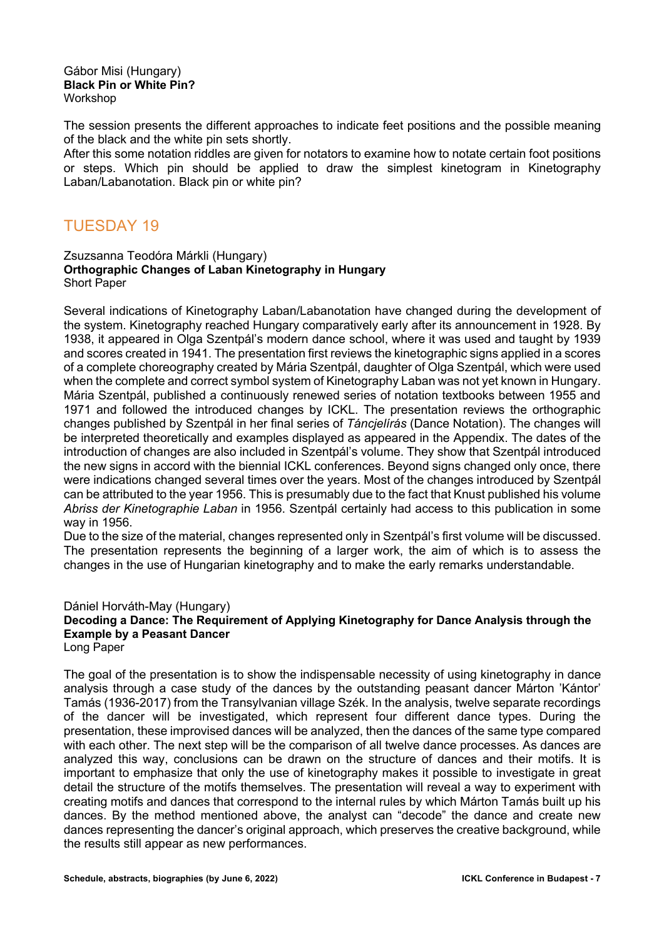#### Gábor Misi (Hungary) **Black Pin or White Pin?** Workshop

The session presents the different approaches to indicate feet positions and the possible meaning of the black and the white pin sets shortly.

After this some notation riddles are given for notators to examine how to notate certain foot positions or steps. Which pin should be applied to draw the simplest kinetogram in Kinetography Laban/Labanotation. Black pin or white pin?

## TUESDAY 19

#### Zsuzsanna Teodóra Márkli (Hungary) **Orthographic Changes of Laban Kinetography in Hungary** Short Paper

Several indications of Kinetography Laban/Labanotation have changed during the development of the system. Kinetography reached Hungary comparatively early after its announcement in 1928. By 1938, it appeared in Olga Szentpál's modern dance school, where it was used and taught by 1939 and scores created in 1941. The presentation first reviews the kinetographic signs applied in a scores of a complete choreography created by Mária Szentpál, daughter of Olga Szentpál, which were used when the complete and correct symbol system of Kinetography Laban was not yet known in Hungary. Mária Szentpál, published a continuously renewed series of notation textbooks between 1955 and 1971 and followed the introduced changes by ICKL. The presentation reviews the orthographic changes published by Szentpál in her final series of *Táncjelírás* (Dance Notation). The changes will be interpreted theoretically and examples displayed as appeared in the Appendix. The dates of the introduction of changes are also included in Szentpál's volume. They show that Szentpál introduced the new signs in accord with the biennial ICKL conferences. Beyond signs changed only once, there were indications changed several times over the years. Most of the changes introduced by Szentpál can be attributed to the year 1956. This is presumably due to the fact that Knust published his volume *Abriss der Kinetographie Laban* in 1956. Szentpál certainly had access to this publication in some way in 1956.

Due to the size of the material, changes represented only in Szentpál's first volume will be discussed. The presentation represents the beginning of a larger work, the aim of which is to assess the changes in the use of Hungarian kinetography and to make the early remarks understandable.

#### Dániel Horváth-May (Hungary) **Decoding a Dance: The Requirement of Applying Kinetography for Dance Analysis through the Example by a Peasant Dancer** Long Paper

The goal of the presentation is to show the indispensable necessity of using kinetography in dance analysis through a case study of the dances by the outstanding peasant dancer Márton 'Kántor' Tamás (1936-2017) from the Transylvanian village Szék. In the analysis, twelve separate recordings of the dancer will be investigated, which represent four different dance types. During the presentation, these improvised dances will be analyzed, then the dances of the same type compared with each other. The next step will be the comparison of all twelve dance processes. As dances are analyzed this way, conclusions can be drawn on the structure of dances and their motifs. It is important to emphasize that only the use of kinetography makes it possible to investigate in great detail the structure of the motifs themselves. The presentation will reveal a way to experiment with creating motifs and dances that correspond to the internal rules by which Márton Tamás built up his dances. By the method mentioned above, the analyst can "decode" the dance and create new dances representing the dancer's original approach, which preserves the creative background, while the results still appear as new performances.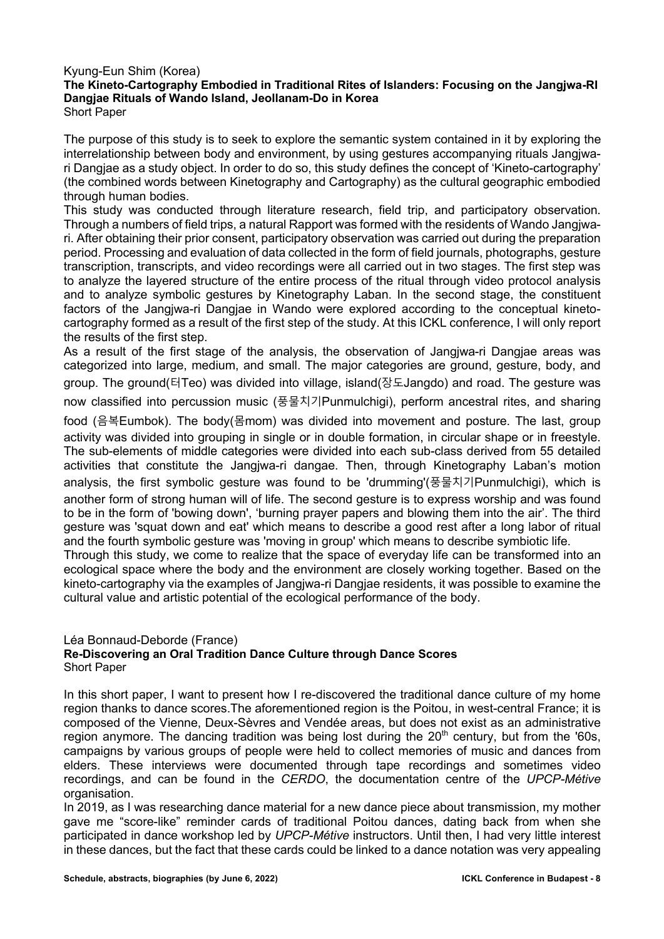### Kyung-Eun Shim (Korea)

### **The Kineto-Cartography Embodied in Traditional Rites of Islanders: Focusing on the Jangjwa-RI Dangjae Rituals of Wando Island, Jeollanam-Do in Korea** Short Paper

The purpose of this study is to seek to explore the semantic system contained in it by exploring the interrelationship between body and environment, by using gestures accompanying rituals Jangjwari Dangjae as a study object. In order to do so, this study defines the concept of 'Kineto-cartography' (the combined words between Kinetography and Cartography) as the cultural geographic embodied through human bodies.

This study was conducted through literature research, field trip, and participatory observation. Through a numbers of field trips, a natural Rapport was formed with the residents of Wando Jangjwari. After obtaining their prior consent, participatory observation was carried out during the preparation period. Processing and evaluation of data collected in the form of field journals, photographs, gesture transcription, transcripts, and video recordings were all carried out in two stages. The first step was to analyze the layered structure of the entire process of the ritual through video protocol analysis and to analyze symbolic gestures by Kinetography Laban. In the second stage, the constituent factors of the Jangjwa-ri Dangjae in Wando were explored according to the conceptual kinetocartography formed as a result of the first step of the study. At this ICKL conference, I will only report the results of the first step.

As a result of the first stage of the analysis, the observation of Jangjwa-ri Dangjae areas was categorized into large, medium, and small. The major categories are ground, gesture, body, and group. The ground(터Teo) was divided into village, island(장도Jangdo) and road. The gesture was

now classified into percussion music (풍물치기Punmulchigi), perform ancestral rites, and sharing

food (음복Eumbok). The body(몸mom) was divided into movement and posture. The last, group activity was divided into grouping in single or in double formation, in circular shape or in freestyle. The sub-elements of middle categories were divided into each sub-class derived from 55 detailed activities that constitute the Jangjwa-ri dangae. Then, through Kinetography Laban's motion analysis, the first symbolic gesture was found to be 'drumming'(풍물치기Punmulchigi), which is another form of strong human will of life. The second gesture is to express worship and was found to be in the form of 'bowing down', 'burning prayer papers and blowing them into the air'. The third gesture was 'squat down and eat' which means to describe a good rest after a long labor of ritual and the fourth symbolic gesture was 'moving in group' which means to describe symbiotic life.

Through this study, we come to realize that the space of everyday life can be transformed into an ecological space where the body and the environment are closely working together. Based on the kineto-cartography via the examples of Jangjwa-ri Dangjae residents, it was possible to examine the cultural value and artistic potential of the ecological performance of the body.

#### Léa Bonnaud-Deborde (France) **Re-Discovering an Oral Tradition Dance Culture through Dance Scores** Short Paper

In this short paper, I want to present how I re-discovered the traditional dance culture of my home region thanks to dance scores.The aforementioned region is the Poitou, in west-central France; it is composed of the Vienne, Deux-Sèvres and Vendée areas, but does not exist as an administrative region anymore. The dancing tradition was being lost during the  $20<sup>th</sup>$  century, but from the '60s, campaigns by various groups of people were held to collect memories of music and dances from elders. These interviews were documented through tape recordings and sometimes video recordings, and can be found in the *CERDO*, the documentation centre of the *UPCP-Métive* organisation.

In 2019, as I was researching dance material for a new dance piece about transmission, my mother gave me "score-like" reminder cards of traditional Poitou dances, dating back from when she participated in dance workshop led by *UPCP-Métive* instructors. Until then, I had very little interest in these dances, but the fact that these cards could be linked to a dance notation was very appealing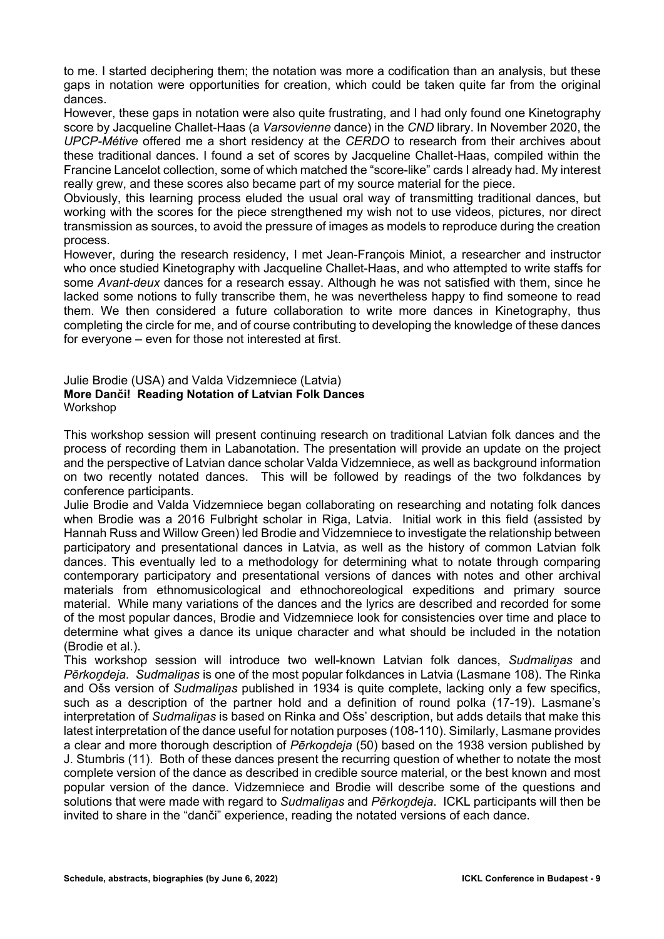to me. I started deciphering them; the notation was more a codification than an analysis, but these gaps in notation were opportunities for creation, which could be taken quite far from the original dances.

However, these gaps in notation were also quite frustrating, and I had only found one Kinetography score by Jacqueline Challet-Haas (a *Varsovienne* dance) in the *CND* library. In November 2020, the *UPCP-Métive* offered me a short residency at the *CERDO* to research from their archives about these traditional dances. I found a set of scores by Jacqueline Challet-Haas, compiled within the Francine Lancelot collection, some of which matched the "score-like" cards I already had. My interest really grew, and these scores also became part of my source material for the piece.

Obviously, this learning process eluded the usual oral way of transmitting traditional dances, but working with the scores for the piece strengthened my wish not to use videos, pictures, nor direct transmission as sources, to avoid the pressure of images as models to reproduce during the creation process.

However, during the research residency, I met Jean-François Miniot, a researcher and instructor who once studied Kinetography with Jacqueline Challet-Haas, and who attempted to write staffs for some *Avant-deux* dances for a research essay. Although he was not satisfied with them, since he lacked some notions to fully transcribe them, he was nevertheless happy to find someone to read them. We then considered a future collaboration to write more dances in Kinetography, thus completing the circle for me, and of course contributing to developing the knowledge of these dances for everyone – even for those not interested at first.

#### Julie Brodie (USA) and Valda Vidzemniece (Latvia) **More Danči! Reading Notation of Latvian Folk Dances** Workshop

This workshop session will present continuing research on traditional Latvian folk dances and the process of recording them in Labanotation. The presentation will provide an update on the project and the perspective of Latvian dance scholar Valda Vidzemniece, as well as background information on two recently notated dances. This will be followed by readings of the two folkdances by conference participants.

Julie Brodie and Valda Vidzemniece began collaborating on researching and notating folk dances when Brodie was a 2016 Fulbright scholar in Riga, Latvia. Initial work in this field (assisted by Hannah Russ and Willow Green) led Brodie and Vidzemniece to investigate the relationship between participatory and presentational dances in Latvia, as well as the history of common Latvian folk dances. This eventually led to a methodology for determining what to notate through comparing contemporary participatory and presentational versions of dances with notes and other archival materials from ethnomusicological and ethnochoreological expeditions and primary source material. While many variations of the dances and the lyrics are described and recorded for some of the most popular dances, Brodie and Vidzemniece look for consistencies over time and place to determine what gives a dance its unique character and what should be included in the notation (Brodie et al.).

This workshop session will introduce two well-known Latvian folk dances, *Sudmaliņas* and *Pērkoņdeja*. *Sudmaliņas* is one of the most popular folkdances in Latvia (Lasmane 108). The Rinka and Ošs version of *Sudmaliņas* published in 1934 is quite complete, lacking only a few specifics, such as a description of the partner hold and a definition of round polka (17-19). Lasmane's interpretation of *Sudmaliņas* is based on Rinka and Ošs' description, but adds details that make this latest interpretation of the dance useful for notation purposes (108-110). Similarly, Lasmane provides a clear and more thorough description of *Pērkoņdeja* (50) based on the 1938 version published by J. Stumbris (11). Both of these dances present the recurring question of whether to notate the most complete version of the dance as described in credible source material, or the best known and most popular version of the dance. Vidzemniece and Brodie will describe some of the questions and solutions that were made with regard to *Sudmaliņas* and *Pērkoņdeja*. ICKL participants will then be invited to share in the "danči" experience, reading the notated versions of each dance.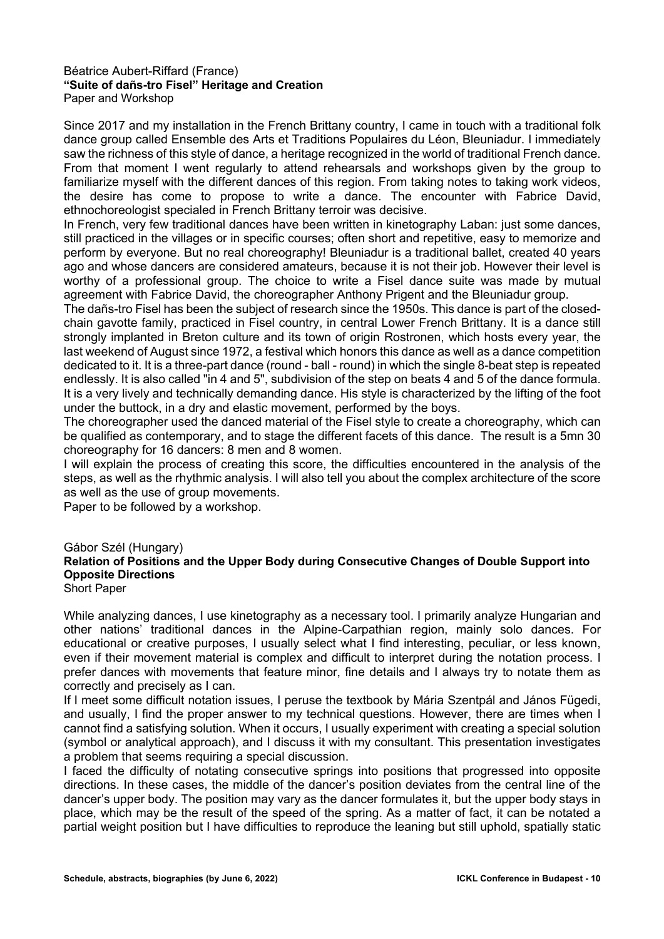#### Béatrice Aubert-Riffard (France) **"Suite of dañs-tro Fisel" Heritage and Creation**  Paper and Workshop

Since 2017 and my installation in the French Brittany country, I came in touch with a traditional folk dance group called Ensemble des Arts et Traditions Populaires du Léon, Bleuniadur. I immediately saw the richness of this style of dance, a heritage recognized in the world of traditional French dance. From that moment I went regularly to attend rehearsals and workshops given by the group to familiarize myself with the different dances of this region. From taking notes to taking work videos, the desire has come to propose to write a dance. The encounter with Fabrice David, ethnochoreologist specialed in French Brittany terroir was decisive.

In French, very few traditional dances have been written in kinetography Laban: just some dances, still practiced in the villages or in specific courses; often short and repetitive, easy to memorize and perform by everyone. But no real choreography! Bleuniadur is a traditional ballet, created 40 years ago and whose dancers are considered amateurs, because it is not their job. However their level is worthy of a professional group. The choice to write a Fisel dance suite was made by mutual agreement with Fabrice David, the choreographer Anthony Prigent and the Bleuniadur group.

The dañs-tro Fisel has been the subject of research since the 1950s. This dance is part of the closedchain gavotte family, practiced in Fisel country, in central Lower French Brittany. It is a dance still strongly implanted in Breton culture and its town of origin Rostronen, which hosts every year, the last weekend of August since 1972, a festival which honors this dance as well as a dance competition dedicated to it. It is a three-part dance (round - ball - round) in which the single 8-beat step is repeated endlessly. It is also called "in 4 and 5", subdivision of the step on beats 4 and 5 of the dance formula. It is a very lively and technically demanding dance. His style is characterized by the lifting of the foot under the buttock, in a dry and elastic movement, performed by the boys.

The choreographer used the danced material of the Fisel style to create a choreography, which can be qualified as contemporary, and to stage the different facets of this dance. The result is a 5mn 30 choreography for 16 dancers: 8 men and 8 women.

I will explain the process of creating this score, the difficulties encountered in the analysis of the steps, as well as the rhythmic analysis. I will also tell you about the complex architecture of the score as well as the use of group movements.

Paper to be followed by a workshop.

#### Gábor Szél (Hungary) **Relation of Positions and the Upper Body during Consecutive Changes of Double Support into Opposite Directions** Short Paper

While analyzing dances, I use kinetography as a necessary tool. I primarily analyze Hungarian and other nations' traditional dances in the Alpine-Carpathian region, mainly solo dances. For educational or creative purposes, I usually select what I find interesting, peculiar, or less known, even if their movement material is complex and difficult to interpret during the notation process. I prefer dances with movements that feature minor, fine details and I always try to notate them as correctly and precisely as I can.

If I meet some difficult notation issues, I peruse the textbook by Mária Szentpál and János Fügedi, and usually, I find the proper answer to my technical questions. However, there are times when I cannot find a satisfying solution. When it occurs, I usually experiment with creating a special solution (symbol or analytical approach), and I discuss it with my consultant. This presentation investigates a problem that seems requiring a special discussion.

I faced the difficulty of notating consecutive springs into positions that progressed into opposite directions. In these cases, the middle of the dancer's position deviates from the central line of the dancer's upper body. The position may vary as the dancer formulates it, but the upper body stays in place, which may be the result of the speed of the spring. As a matter of fact, it can be notated a partial weight position but I have difficulties to reproduce the leaning but still uphold, spatially static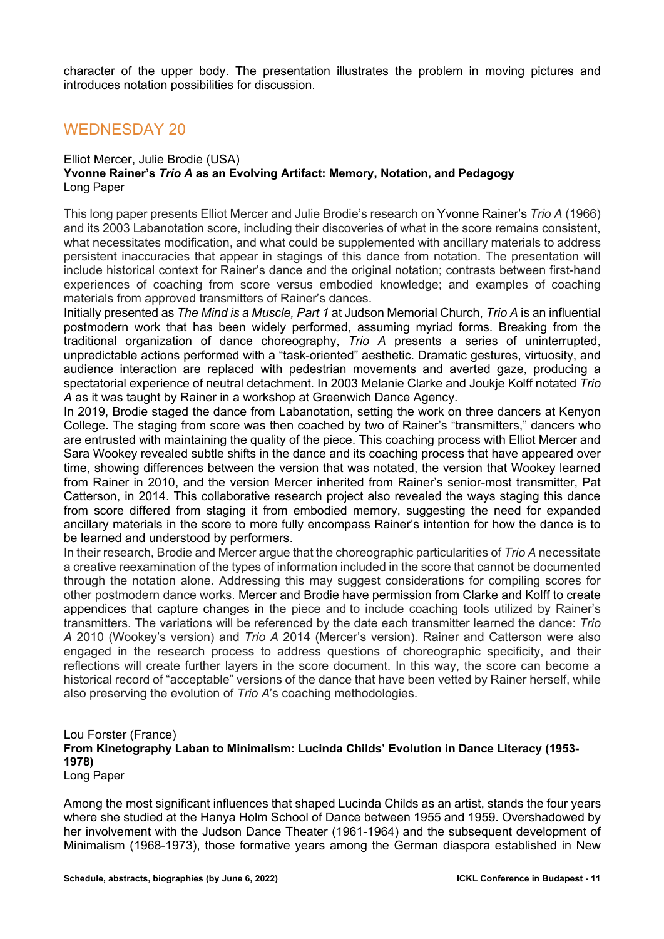character of the upper body. The presentation illustrates the problem in moving pictures and introduces notation possibilities for discussion.

### WEDNESDAY 20

#### Elliot Mercer, Julie Brodie (USA) **Yvonne Rainer's** *Trio A* **as an Evolving Artifact: Memory, Notation, and Pedagogy** Long Paper

This long paper presents Elliot Mercer and Julie Brodie's research on Yvonne Rainer's *Trio A* (1966) and its 2003 Labanotation score, including their discoveries of what in the score remains consistent, what necessitates modification, and what could be supplemented with ancillary materials to address persistent inaccuracies that appear in stagings of this dance from notation. The presentation will include historical context for Rainer's dance and the original notation; contrasts between first-hand experiences of coaching from score versus embodied knowledge; and examples of coaching materials from approved transmitters of Rainer's dances.

Initially presented as *The Mind is a Muscle, Part 1* at Judson Memorial Church, *Trio A* is an influential postmodern work that has been widely performed, assuming myriad forms. Breaking from the traditional organization of dance choreography, *Trio A* presents a series of uninterrupted, unpredictable actions performed with a "task-oriented" aesthetic. Dramatic gestures, virtuosity, and audience interaction are replaced with pedestrian movements and averted gaze, producing a spectatorial experience of neutral detachment. In 2003 Melanie Clarke and Joukje Kolff notated *Trio A* as it was taught by Rainer in a workshop at Greenwich Dance Agency.

In 2019, Brodie staged the dance from Labanotation, setting the work on three dancers at Kenyon College. The staging from score was then coached by two of Rainer's "transmitters," dancers who are entrusted with maintaining the quality of the piece. This coaching process with Elliot Mercer and Sara Wookey revealed subtle shifts in the dance and its coaching process that have appeared over time, showing differences between the version that was notated, the version that Wookey learned from Rainer in 2010, and the version Mercer inherited from Rainer's senior-most transmitter, Pat Catterson, in 2014. This collaborative research project also revealed the ways staging this dance from score differed from staging it from embodied memory, suggesting the need for expanded ancillary materials in the score to more fully encompass Rainer's intention for how the dance is to be learned and understood by performers.

In their research, Brodie and Mercer argue that the choreographic particularities of *Trio A* necessitate a creative reexamination of the types of information included in the score that cannot be documented through the notation alone. Addressing this may suggest considerations for compiling scores for other postmodern dance works. Mercer and Brodie have permission from Clarke and Kolff to create appendices that capture changes in the piece and to include coaching tools utilized by Rainer's transmitters. The variations will be referenced by the date each transmitter learned the dance: *Trio A* 2010 (Wookey's version) and *Trio A* 2014 (Mercer's version). Rainer and Catterson were also engaged in the research process to address questions of choreographic specificity, and their reflections will create further layers in the score document. In this way, the score can become a historical record of "acceptable" versions of the dance that have been vetted by Rainer herself, while also preserving the evolution of *Trio A*'s coaching methodologies.

#### Lou Forster (France) **From Kinetography Laban to Minimalism: Lucinda Childs' Evolution in Dance Literacy (1953- 1978)** Long Paper

Among the most significant influences that shaped Lucinda Childs as an artist, stands the four years where she studied at the Hanya Holm School of Dance between 1955 and 1959. Overshadowed by her involvement with the Judson Dance Theater (1961-1964) and the subsequent development of Minimalism (1968-1973), those formative years among the German diaspora established in New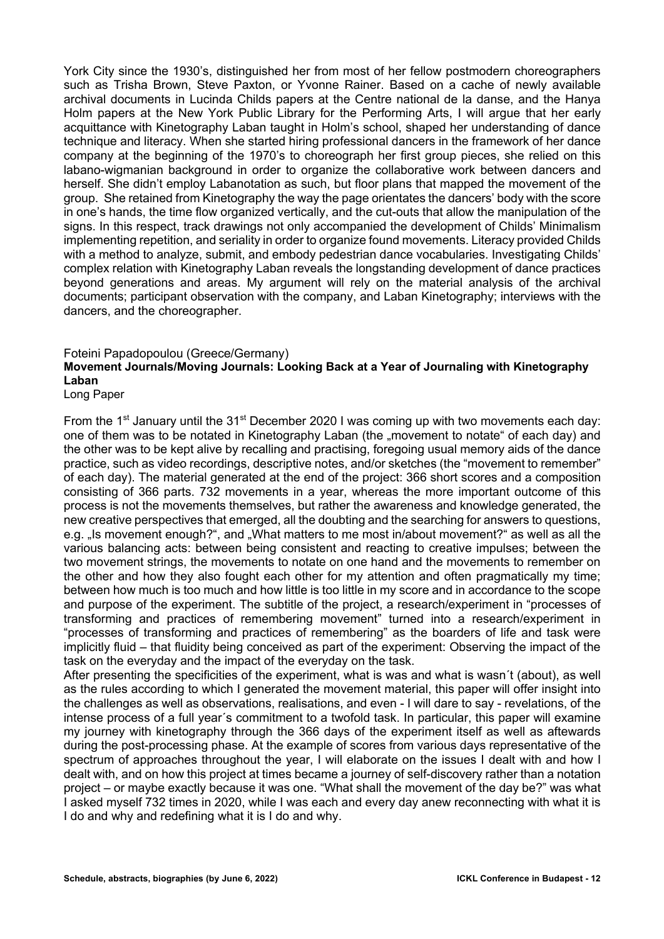York City since the 1930's, distinguished her from most of her fellow postmodern choreographers such as Trisha Brown, Steve Paxton, or Yvonne Rainer. Based on a cache of newly available archival documents in Lucinda Childs papers at the Centre national de la danse, and the Hanya Holm papers at the New York Public Library for the Performing Arts, I will argue that her early acquittance with Kinetography Laban taught in Holm's school, shaped her understanding of dance technique and literacy. When she started hiring professional dancers in the framework of her dance company at the beginning of the 1970's to choreograph her first group pieces, she relied on this labano-wigmanian background in order to organize the collaborative work between dancers and herself. She didn't employ Labanotation as such, but floor plans that mapped the movement of the group. She retained from Kinetography the way the page orientates the dancers' body with the score in one's hands, the time flow organized vertically, and the cut-outs that allow the manipulation of the signs. In this respect, track drawings not only accompanied the development of Childs' Minimalism implementing repetition, and seriality in order to organize found movements. Literacy provided Childs with a method to analyze, submit, and embody pedestrian dance vocabularies. Investigating Childs' complex relation with Kinetography Laban reveals the longstanding development of dance practices beyond generations and areas. My argument will rely on the material analysis of the archival documents; participant observation with the company, and Laban Kinetography; interviews with the dancers, and the choreographer.

### Foteini Papadopoulou (Greece/Germany) **Movement Journals/Moving Journals: Looking Back at a Year of Journaling with Kinetography Laban**

Long Paper

From the 1<sup>st</sup> January until the 31<sup>st</sup> December 2020 I was coming up with two movements each day: one of them was to be notated in Kinetography Laban (the "movement to notate" of each day) and the other was to be kept alive by recalling and practising, foregoing usual memory aids of the dance practice, such as video recordings, descriptive notes, and/or sketches (the "movement to remember" of each day). The material generated at the end of the project: 366 short scores and a composition consisting of 366 parts. 732 movements in a year, whereas the more important outcome of this process is not the movements themselves, but rather the awareness and knowledge generated, the new creative perspectives that emerged, all the doubting and the searching for answers to questions, e.g. "Is movement enough?", and "What matters to me most in/about movement?" as well as all the various balancing acts: between being consistent and reacting to creative impulses; between the two movement strings, the movements to notate on one hand and the movements to remember on the other and how they also fought each other for my attention and often pragmatically my time; between how much is too much and how little is too little in my score and in accordance to the scope and purpose of the experiment. The subtitle of the project, a research/experiment in "processes of transforming and practices of remembering movement" turned into a research/experiment in "processes of transforming and practices of remembering" as the boarders of life and task were implicitly fluid – that fluidity being conceived as part of the experiment: Observing the impact of the task on the everyday and the impact of the everyday on the task.

After presenting the specificities of the experiment, what is was and what is wasn´t (about), as well as the rules according to which I generated the movement material, this paper will offer insight into the challenges as well as observations, realisations, and even - I will dare to say - revelations, of the intense process of a full year´s commitment to a twofold task. In particular, this paper will examine my journey with kinetography through the 366 days of the experiment itself as well as aftewards during the post-processing phase. At the example of scores from various days representative of the spectrum of approaches throughout the year, I will elaborate on the issues I dealt with and how I dealt with, and on how this project at times became a journey of self-discovery rather than a notation project – or maybe exactly because it was one. "What shall the movement of the day be?" was what I asked myself 732 times in 2020, while I was each and every day anew reconnecting with what it is I do and why and redefining what it is I do and why.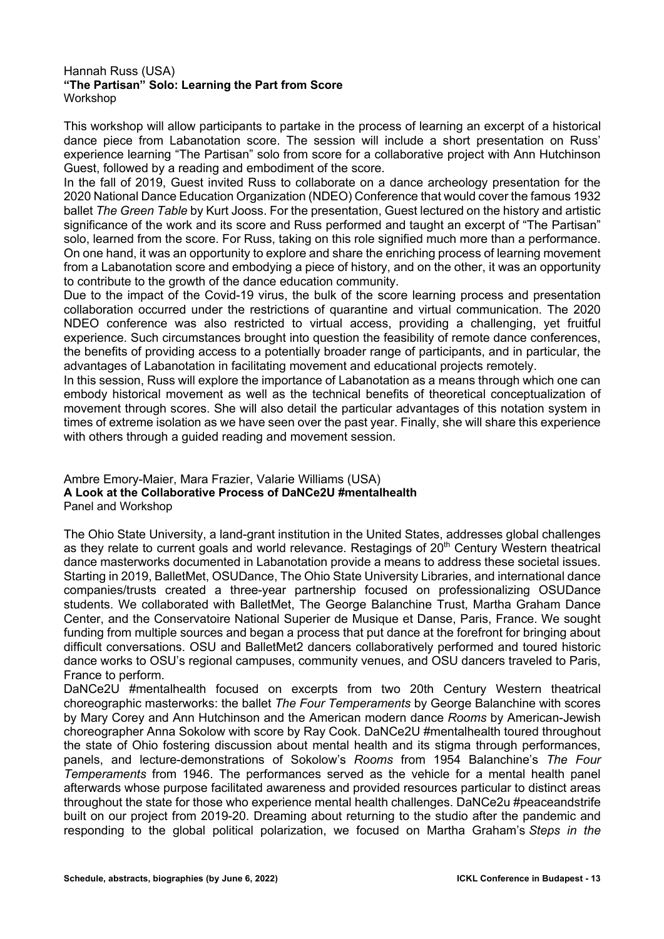#### Hannah Russ (USA) **"The Partisan" Solo: Learning the Part from Score** Workshop

This workshop will allow participants to partake in the process of learning an excerpt of a historical dance piece from Labanotation score. The session will include a short presentation on Russ' experience learning "The Partisan" solo from score for a collaborative project with Ann Hutchinson Guest, followed by a reading and embodiment of the score.

In the fall of 2019, Guest invited Russ to collaborate on a dance archeology presentation for the 2020 National Dance Education Organization (NDEO) Conference that would cover the famous 1932 ballet *The Green Table* by Kurt Jooss. For the presentation, Guest lectured on the history and artistic significance of the work and its score and Russ performed and taught an excerpt of "The Partisan" solo, learned from the score. For Russ, taking on this role signified much more than a performance. On one hand, it was an opportunity to explore and share the enriching process of learning movement from a Labanotation score and embodying a piece of history, and on the other, it was an opportunity to contribute to the growth of the dance education community.

Due to the impact of the Covid-19 virus, the bulk of the score learning process and presentation collaboration occurred under the restrictions of quarantine and virtual communication. The 2020 NDEO conference was also restricted to virtual access, providing a challenging, yet fruitful experience. Such circumstances brought into question the feasibility of remote dance conferences, the benefits of providing access to a potentially broader range of participants, and in particular, the advantages of Labanotation in facilitating movement and educational projects remotely.

In this session, Russ will explore the importance of Labanotation as a means through which one can embody historical movement as well as the technical benefits of theoretical conceptualization of movement through scores. She will also detail the particular advantages of this notation system in times of extreme isolation as we have seen over the past year. Finally, she will share this experience with others through a guided reading and movement session.

#### Ambre Emory-Maier, Mara Frazier, Valarie Williams (USA) **A Look at the Collaborative Process of DaNCe2U #mentalhealth**  Panel and Workshop

The Ohio State University, a land-grant institution in the United States, addresses global challenges as they relate to current goals and world relevance. Restagings of 20<sup>th</sup> Century Western theatrical dance masterworks documented in Labanotation provide a means to address these societal issues. Starting in 2019, BalletMet, OSUDance, The Ohio State University Libraries, and international dance companies/trusts created a three-year partnership focused on professionalizing OSUDance students. We collaborated with BalletMet, The George Balanchine Trust, Martha Graham Dance Center, and the Conservatoire National Superier de Musique et Danse, Paris, France. We sought funding from multiple sources and began a process that put dance at the forefront for bringing about difficult conversations. OSU and BalletMet2 dancers collaboratively performed and toured historic dance works to OSU's regional campuses, community venues, and OSU dancers traveled to Paris, France to perform.

DaNCe2U #mentalhealth focused on excerpts from two 20th Century Western theatrical choreographic masterworks: the ballet *The Four Temperaments* by George Balanchine with scores by Mary Corey and Ann Hutchinson and the American modern dance *Rooms* by American-Jewish choreographer Anna Sokolow with score by Ray Cook. DaNCe2U #mentalhealth toured throughout the state of Ohio fostering discussion about mental health and its stigma through performances, panels, and lecture-demonstrations of Sokolow's *Rooms* from 1954 Balanchine's *The Four Temperaments* from 1946. The performances served as the vehicle for a mental health panel afterwards whose purpose facilitated awareness and provided resources particular to distinct areas throughout the state for those who experience mental health challenges. DaNCe2u #peaceandstrife built on our project from 2019-20. Dreaming about returning to the studio after the pandemic and responding to the global political polarization, we focused on Martha Graham's *Steps in the*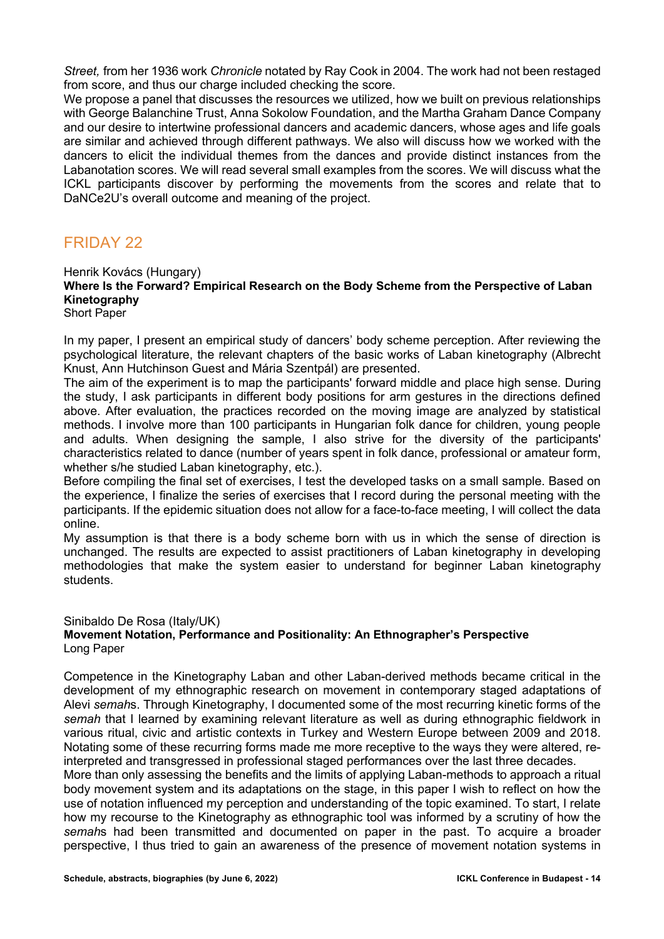*Street,* from her 1936 work *Chronicle* notated by Ray Cook in 2004. The work had not been restaged from score, and thus our charge included checking the score.

We propose a panel that discusses the resources we utilized, how we built on previous relationships with George Balanchine Trust, Anna Sokolow Foundation, and the Martha Graham Dance Company and our desire to intertwine professional dancers and academic dancers, whose ages and life goals are similar and achieved through different pathways. We also will discuss how we worked with the dancers to elicit the individual themes from the dances and provide distinct instances from the Labanotation scores. We will read several small examples from the scores. We will discuss what the ICKL participants discover by performing the movements from the scores and relate that to DaNCe2U's overall outcome and meaning of the project.

## FRIDAY 22

#### Henrik Kovács (Hungary)

**Where Is the Forward? Empirical Research on the Body Scheme from the Perspective of Laban Kinetography**

Short Paper

In my paper, I present an empirical study of dancers' body scheme perception. After reviewing the psychological literature, the relevant chapters of the basic works of Laban kinetography (Albrecht Knust, Ann Hutchinson Guest and Mária Szentpál) are presented.

The aim of the experiment is to map the participants' forward middle and place high sense. During the study, I ask participants in different body positions for arm gestures in the directions defined above. After evaluation, the practices recorded on the moving image are analyzed by statistical methods. I involve more than 100 participants in Hungarian folk dance for children, young people and adults. When designing the sample, I also strive for the diversity of the participants' characteristics related to dance (number of years spent in folk dance, professional or amateur form, whether s/he studied Laban kinetography, etc.).

Before compiling the final set of exercises, I test the developed tasks on a small sample. Based on the experience, I finalize the series of exercises that I record during the personal meeting with the participants. If the epidemic situation does not allow for a face-to-face meeting, I will collect the data online.

My assumption is that there is a body scheme born with us in which the sense of direction is unchanged. The results are expected to assist practitioners of Laban kinetography in developing methodologies that make the system easier to understand for beginner Laban kinetography students.

#### Sinibaldo De Rosa (Italy/UK)

#### **Movement Notation, Performance and Positionality: An Ethnographer's Perspective** Long Paper

Competence in the Kinetography Laban and other Laban-derived methods became critical in the development of my ethnographic research on movement in contemporary staged adaptations of Alevi *semah*s. Through Kinetography, I documented some of the most recurring kinetic forms of the *semah* that I learned by examining relevant literature as well as during ethnographic fieldwork in various ritual, civic and artistic contexts in Turkey and Western Europe between 2009 and 2018. Notating some of these recurring forms made me more receptive to the ways they were altered, reinterpreted and transgressed in professional staged performances over the last three decades.

More than only assessing the benefits and the limits of applying Laban-methods to approach a ritual body movement system and its adaptations on the stage, in this paper I wish to reflect on how the use of notation influenced my perception and understanding of the topic examined. To start, I relate how my recourse to the Kinetography as ethnographic tool was informed by a scrutiny of how the *semah*s had been transmitted and documented on paper in the past. To acquire a broader perspective, I thus tried to gain an awareness of the presence of movement notation systems in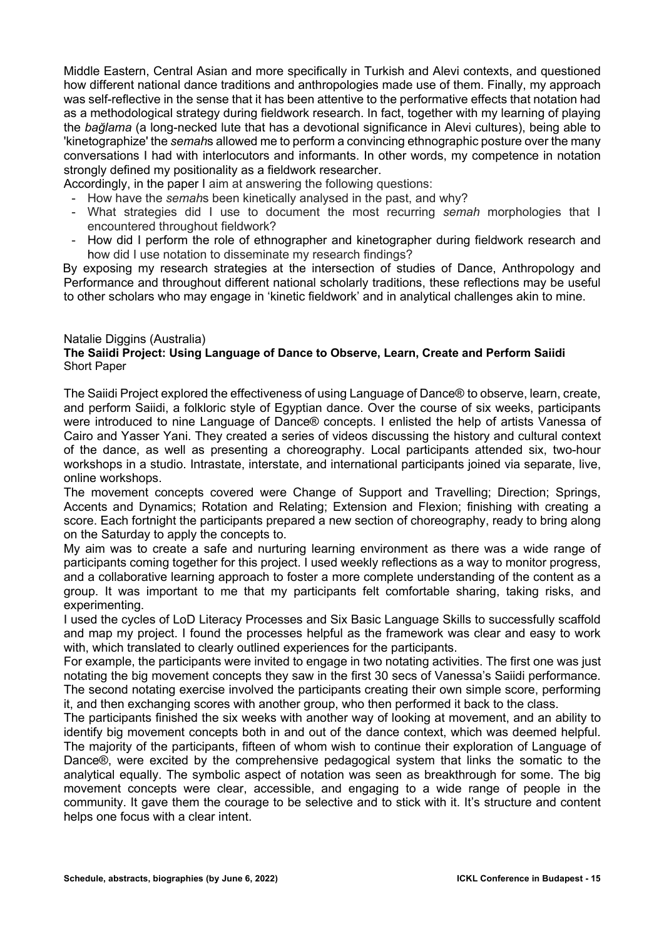Middle Eastern, Central Asian and more specifically in Turkish and Alevi contexts, and questioned how different national dance traditions and anthropologies made use of them. Finally, my approach was self-reflective in the sense that it has been attentive to the performative effects that notation had as a methodological strategy during fieldwork research. In fact, together with my learning of playing the *bağlama* (a long-necked lute that has a devotional significance in Alevi cultures), being able to 'kinetographize' the *semah*s allowed me to perform a convincing ethnographic posture over the many conversations I had with interlocutors and informants. In other words, my competence in notation strongly defined my positionality as a fieldwork researcher.

Accordingly, in the paper I aim at answering the following questions:

- How have the *semah*s been kinetically analysed in the past, and why?
- What strategies did I use to document the most recurring *semah* morphologies that I encountered throughout fieldwork?
- How did I perform the role of ethnographer and kinetographer during fieldwork research and how did I use notation to disseminate my research findings?

By exposing my research strategies at the intersection of studies of Dance, Anthropology and Performance and throughout different national scholarly traditions, these reflections may be useful to other scholars who may engage in 'kinetic fieldwork' and in analytical challenges akin to mine.

#### Natalie Diggins (Australia) **The Saiidi Project: Using Language of Dance to Observe, Learn, Create and Perform Saiidi** Short Paper

The Saiidi Project explored the effectiveness of using Language of Dance® to observe, learn, create, and perform Saiidi, a folkloric style of Egyptian dance. Over the course of six weeks, participants were introduced to nine Language of Dance® concepts. I enlisted the help of artists Vanessa of Cairo and Yasser Yani. They created a series of videos discussing the history and cultural context of the dance, as well as presenting a choreography. Local participants attended six, two-hour workshops in a studio. Intrastate, interstate, and international participants joined via separate, live, online workshops.

The movement concepts covered were Change of Support and Travelling; Direction; Springs, Accents and Dynamics; Rotation and Relating; Extension and Flexion; finishing with creating a score. Each fortnight the participants prepared a new section of choreography, ready to bring along on the Saturday to apply the concepts to.

My aim was to create a safe and nurturing learning environment as there was a wide range of participants coming together for this project. I used weekly reflections as a way to monitor progress, and a collaborative learning approach to foster a more complete understanding of the content as a group. It was important to me that my participants felt comfortable sharing, taking risks, and experimenting.

I used the cycles of LoD Literacy Processes and Six Basic Language Skills to successfully scaffold and map my project. I found the processes helpful as the framework was clear and easy to work with, which translated to clearly outlined experiences for the participants.

For example, the participants were invited to engage in two notating activities. The first one was just notating the big movement concepts they saw in the first 30 secs of Vanessa's Saiidi performance. The second notating exercise involved the participants creating their own simple score, performing it, and then exchanging scores with another group, who then performed it back to the class.

The participants finished the six weeks with another way of looking at movement, and an ability to identify big movement concepts both in and out of the dance context, which was deemed helpful. The majority of the participants, fifteen of whom wish to continue their exploration of Language of Dance®, were excited by the comprehensive pedagogical system that links the somatic to the analytical equally. The symbolic aspect of notation was seen as breakthrough for some. The big movement concepts were clear, accessible, and engaging to a wide range of people in the community. It gave them the courage to be selective and to stick with it. It's structure and content helps one focus with a clear intent.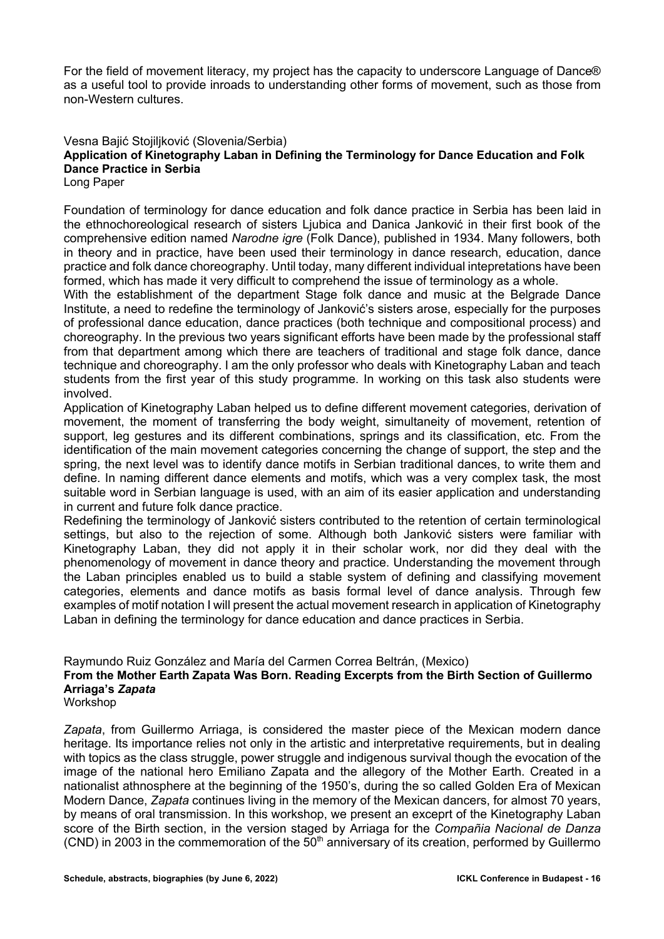For the field of movement literacy, my project has the capacity to underscore Language of Dance® as a useful tool to provide inroads to understanding other forms of movement, such as those from non-Western cultures.

Vesna Bajić Stojiljković (Slovenia/Serbia)

### **Application of Kinetography Laban in Defining the Terminology for Dance Education and Folk Dance Practice in Serbia**

Long Paper

Foundation of terminology for dance education and folk dance practice in Serbia has been laid in the ethnochoreological research of sisters Ljubica and Danica Janković in their first book of the comprehensive edition named *Narodne igre* (Folk Dance), published in 1934. Many followers, both in theory and in practice, have been used their terminology in dance research, education, dance practice and folk dance choreography. Until today, many different individual intepretations have been formed, which has made it very difficult to comprehend the issue of terminology as a whole.

With the establishment of the department Stage folk dance and music at the Belgrade Dance Institute, a need to redefine the terminology of Janković's sisters arose, especially for the purposes of professional dance education, dance practices (both technique and compositional process) and choreography. In the previous two years significant efforts have been made by the professional staff from that department among which there are teachers of traditional and stage folk dance, dance technique and choreography. I am the only professor who deals with Kinetography Laban and teach students from the first year of this study programme. In working on this task also students were involved.

Application of Kinetography Laban helped us to define different movement categories, derivation of movement, the moment of transferring the body weight, simultaneity of movement, retention of support, leg gestures and its different combinations, springs and its classification, etc. From the identification of the main movement categories concerning the change of support, the step and the spring, the next level was to identify dance motifs in Serbian traditional dances, to write them and define. In naming different dance elements and motifs, which was a very complex task, the most suitable word in Serbian language is used, with an aim of its easier application and understanding in current and future folk dance practice.

Redefining the terminology of Janković sisters contributed to the retention of certain terminological settings, but also to the rejection of some. Although both Janković sisters were familiar with Kinetography Laban, they did not apply it in their scholar work, nor did they deal with the phenomenology of movement in dance theory and practice. Understanding the movement through the Laban principles enabled us to build a stable system of defining and classifying movement categories, elements and dance motifs as basis formal level of dance analysis. Through few examples of motif notation I will present the actual movement research in application of Kinetography Laban in defining the terminology for dance education and dance practices in Serbia.

Raymundo Ruiz González and María del Carmen Correa Beltrán, (Mexico)

### **From the Mother Earth Zapata Was Born. Reading Excerpts from the Birth Section of Guillermo Arriaga's** *Zapata*

Workshop

*Zapata*, from Guillermo Arriaga, is considered the master piece of the Mexican modern dance heritage. Its importance relies not only in the artistic and interpretative requirements, but in dealing with topics as the class struggle, power struggle and indigenous survival though the evocation of the image of the national hero Emiliano Zapata and the allegory of the Mother Earth. Created in a nationalist athnosphere at the beginning of the 1950's, during the so called Golden Era of Mexican Modern Dance, *Zapata* continues living in the memory of the Mexican dancers, for almost 70 years, by means of oral transmission. In this workshop, we present an exceprt of the Kinetography Laban score of the Birth section, in the version staged by Arriaga for the *Compañia Nacional de Danza*  (CND) in 2003 in the commemoration of the  $50<sup>th</sup>$  anniversary of its creation, performed by Guillermo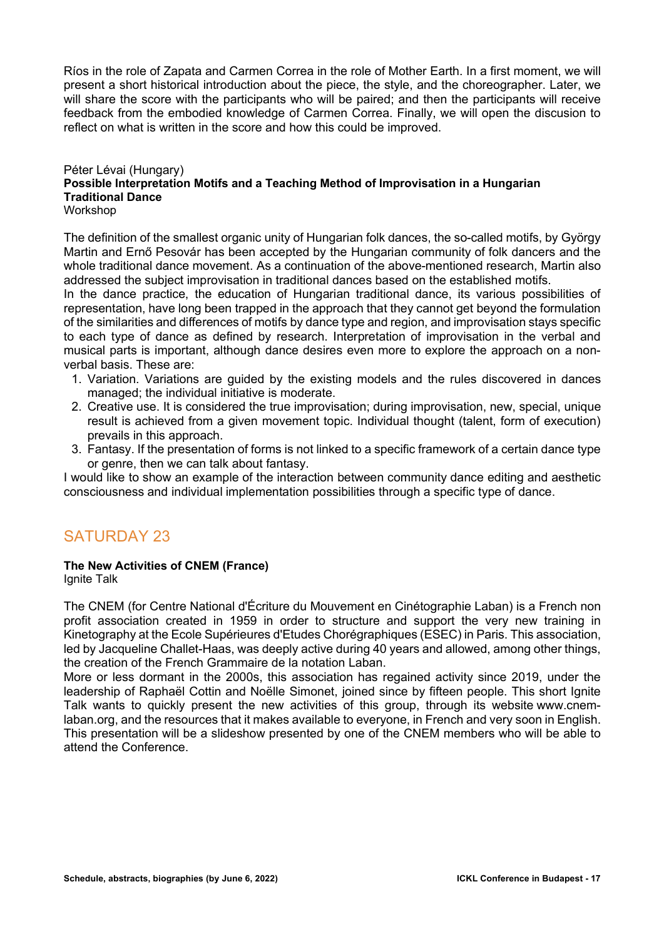Ríos in the role of Zapata and Carmen Correa in the role of Mother Earth. In a first moment, we will present a short historical introduction about the piece, the style, and the choreographer. Later, we will share the score with the participants who will be paired; and then the participants will receive feedback from the embodied knowledge of Carmen Correa. Finally, we will open the discusion to reflect on what is written in the score and how this could be improved.

### Péter Lévai (Hungary) **Possible Interpretation Motifs and a Teaching Method of Improvisation in a Hungarian Traditional Dance**

Workshop

The definition of the smallest organic unity of Hungarian folk dances, the so-called motifs, by György Martin and Ernő Pesovár has been accepted by the Hungarian community of folk dancers and the whole traditional dance movement. As a continuation of the above-mentioned research, Martin also addressed the subject improvisation in traditional dances based on the established motifs.

In the dance practice, the education of Hungarian traditional dance, its various possibilities of representation, have long been trapped in the approach that they cannot get beyond the formulation of the similarities and differences of motifs by dance type and region, and improvisation stays specific to each type of dance as defined by research. Interpretation of improvisation in the verbal and musical parts is important, although dance desires even more to explore the approach on a nonverbal basis. These are:

- 1. Variation. Variations are guided by the existing models and the rules discovered in dances managed; the individual initiative is moderate.
- 2. Creative use. It is considered the true improvisation; during improvisation, new, special, unique result is achieved from a given movement topic. Individual thought (talent, form of execution) prevails in this approach.
- 3. Fantasy. If the presentation of forms is not linked to a specific framework of a certain dance type or genre, then we can talk about fantasy.

I would like to show an example of the interaction between community dance editing and aesthetic consciousness and individual implementation possibilities through a specific type of dance.

## SATURDAY 23

### **The New Activities of CNEM (France)**

Ignite Talk

The CNEM (for Centre National d'Écriture du Mouvement en Cinétographie Laban) is a French non profit association created in 1959 in order to structure and support the very new training in Kinetography at the Ecole Supérieures d'Etudes Chorégraphiques (ESEC) in Paris. This association, led by Jacqueline Challet-Haas, was deeply active during 40 years and allowed, among other things, the creation of the French Grammaire de la notation Laban.

More or less dormant in the 2000s, this association has regained activity since 2019, under the leadership of Raphaël Cottin and Noëlle Simonet, joined since by fifteen people. This short Ignite Talk wants to quickly present the new activities of this group, through its website www.cnemlaban.org, and the resources that it makes available to everyone, in French and very soon in English. This presentation will be a slideshow presented by one of the CNEM members who will be able to attend the Conference.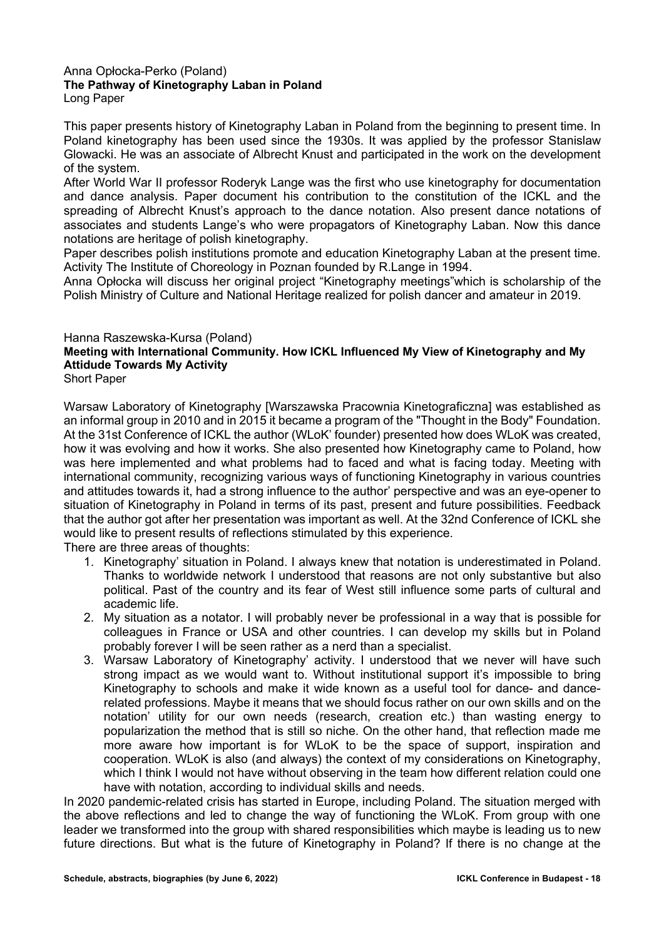#### Anna Opłocka-Perko (Poland) **The Pathway of Kinetography Laban in Poland** Long Paper

This paper presents history of Kinetography Laban in Poland from the beginning to present time. In Poland kinetography has been used since the 1930s. It was applied by the professor Stanislaw Glowacki. He was an associate of Albrecht Knust and participated in the work on the development of the system.

After World War II professor Roderyk Lange was the first who use kinetography for documentation and dance analysis. Paper document his contribution to the constitution of the ICKL and the spreading of Albrecht Knust's approach to the dance notation. Also present dance notations of associates and students Lange's who were propagators of Kinetography Laban. Now this dance notations are heritage of polish kinetography.

Paper describes polish institutions promote and education Kinetography Laban at the present time. Activity The Institute of Choreology in Poznan founded by R.Lange in 1994.

Anna Opłocka will discuss her original project "Kinetography meetings"which is scholarship of the Polish Ministry of Culture and National Heritage realized for polish dancer and amateur in 2019.

### Hanna Raszewska-Kursa (Poland)

### **Meeting with International Community. How ICKL Influenced My View of Kinetography and My Attidude Towards My Activity**

Short Paper

Warsaw Laboratory of Kinetography [Warszawska Pracownia Kinetograficzna] was established as an informal group in 2010 and in 2015 it became a program of the "Thought in the Body" Foundation. At the 31st Conference of ICKL the author (WLoK' founder) presented how does WLoK was created, how it was evolving and how it works. She also presented how Kinetography came to Poland, how was here implemented and what problems had to faced and what is facing today. Meeting with international community, recognizing various ways of functioning Kinetography in various countries and attitudes towards it, had a strong influence to the author' perspective and was an eye-opener to situation of Kinetography in Poland in terms of its past, present and future possibilities. Feedback that the author got after her presentation was important as well. At the 32nd Conference of ICKL she would like to present results of reflections stimulated by this experience.

There are three areas of thoughts:

- 1. Kinetography' situation in Poland. I always knew that notation is underestimated in Poland. Thanks to worldwide network I understood that reasons are not only substantive but also political. Past of the country and its fear of West still influence some parts of cultural and academic life.
- 2. My situation as a notator. I will probably never be professional in a way that is possible for colleagues in France or USA and other countries. I can develop my skills but in Poland probably forever I will be seen rather as a nerd than a specialist.
- 3. Warsaw Laboratory of Kinetography' activity. I understood that we never will have such strong impact as we would want to. Without institutional support it's impossible to bring Kinetography to schools and make it wide known as a useful tool for dance- and dancerelated professions. Maybe it means that we should focus rather on our own skills and on the notation' utility for our own needs (research, creation etc.) than wasting energy to popularization the method that is still so niche. On the other hand, that reflection made me more aware how important is for WLoK to be the space of support, inspiration and cooperation. WLoK is also (and always) the context of my considerations on Kinetography, which I think I would not have without observing in the team how different relation could one have with notation, according to individual skills and needs.

In 2020 pandemic-related crisis has started in Europe, including Poland. The situation merged with the above reflections and led to change the way of functioning the WLoK. From group with one leader we transformed into the group with shared responsibilities which maybe is leading us to new future directions. But what is the future of Kinetography in Poland? If there is no change at the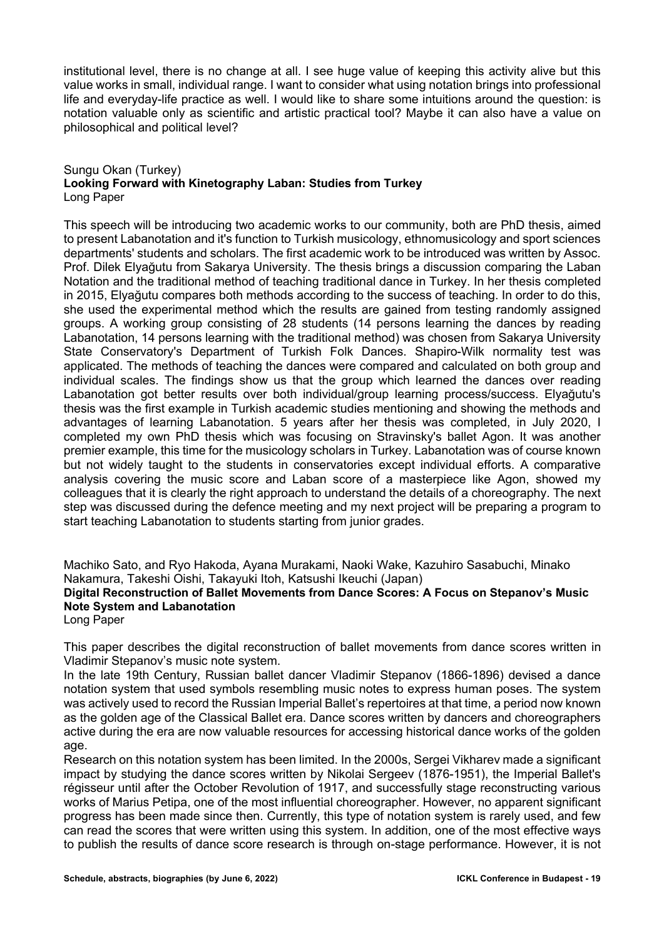institutional level, there is no change at all. I see huge value of keeping this activity alive but this value works in small, individual range. I want to consider what using notation brings into professional life and everyday-life practice as well. I would like to share some intuitions around the question: is notation valuable only as scientific and artistic practical tool? Maybe it can also have a value on philosophical and political level?

### Sungu Okan (Turkey) **Looking Forward with Kinetography Laban: Studies from Turkey** Long Paper

This speech will be introducing two academic works to our community, both are PhD thesis, aimed to present Labanotation and it's function to Turkish musicology, ethnomusicology and sport sciences departments' students and scholars. The first academic work to be introduced was written by Assoc. Prof. Dilek Elyağutu from Sakarya University. The thesis brings a discussion comparing the Laban Notation and the traditional method of teaching traditional dance in Turkey. In her thesis completed in 2015, Elyağutu compares both methods according to the success of teaching. In order to do this, she used the experimental method which the results are gained from testing randomly assigned groups. A working group consisting of 28 students (14 persons learning the dances by reading Labanotation, 14 persons learning with the traditional method) was chosen from Sakarya University State Conservatory's Department of Turkish Folk Dances. Shapiro-Wilk normality test was applicated. The methods of teaching the dances were compared and calculated on both group and individual scales. The findings show us that the group which learned the dances over reading Labanotation got better results over both individual/group learning process/success. Elyağutu's thesis was the first example in Turkish academic studies mentioning and showing the methods and advantages of learning Labanotation. 5 years after her thesis was completed, in July 2020, I completed my own PhD thesis which was focusing on Stravinsky's ballet Agon. It was another premier example, this time for the musicology scholars in Turkey. Labanotation was of course known but not widely taught to the students in conservatories except individual efforts. A comparative analysis covering the music score and Laban score of a masterpiece like Agon, showed my colleagues that it is clearly the right approach to understand the details of a choreography. The next step was discussed during the defence meeting and my next project will be preparing a program to start teaching Labanotation to students starting from junior grades.

Machiko Sato, and Ryo Hakoda, Ayana Murakami, Naoki Wake, Kazuhiro Sasabuchi, Minako Nakamura, Takeshi Oishi, Takayuki Itoh, Katsushi Ikeuchi (Japan) **Digital Reconstruction of Ballet Movements from Dance Scores: A Focus on Stepanov's Music Note System and Labanotation**

Long Paper

This paper describes the digital reconstruction of ballet movements from dance scores written in Vladimir Stepanov's music note system.

In the late 19th Century, Russian ballet dancer Vladimir Stepanov (1866-1896) devised a dance notation system that used symbols resembling music notes to express human poses. The system was actively used to record the Russian Imperial Ballet's repertoires at that time, a period now known as the golden age of the Classical Ballet era. Dance scores written by dancers and choreographers active during the era are now valuable resources for accessing historical dance works of the golden age.

Research on this notation system has been limited. In the 2000s, Sergei Vikharev made a significant impact by studying the dance scores written by Nikolai Sergeev (1876-1951), the Imperial Ballet's régisseur until after the October Revolution of 1917, and successfully stage reconstructing various works of Marius Petipa, one of the most influential choreographer. However, no apparent significant progress has been made since then. Currently, this type of notation system is rarely used, and few can read the scores that were written using this system. In addition, one of the most effective ways to publish the results of dance score research is through on-stage performance. However, it is not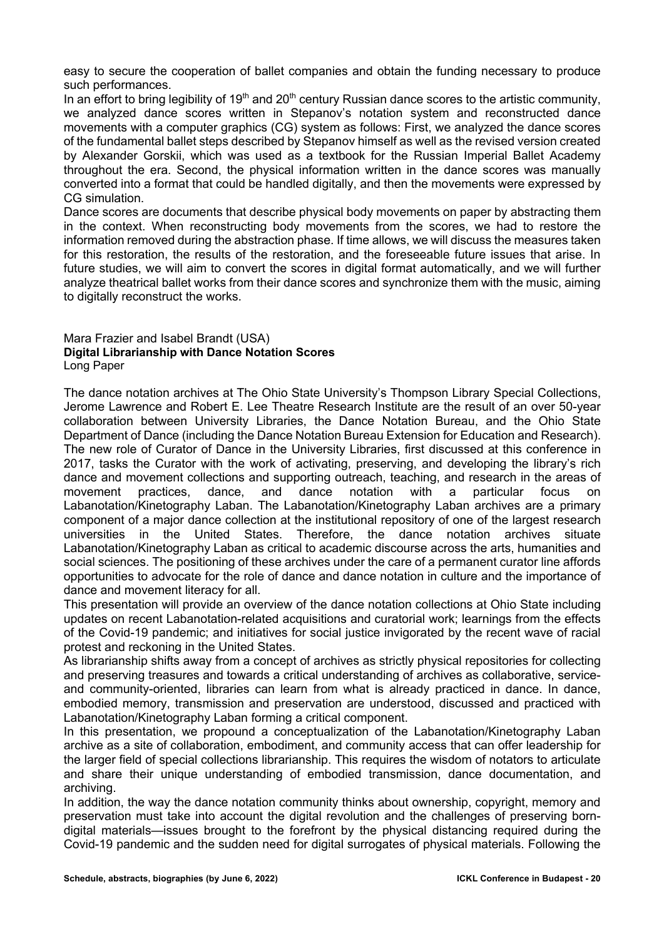easy to secure the cooperation of ballet companies and obtain the funding necessary to produce such performances.

In an effort to bring legibility of  $19<sup>th</sup>$  and  $20<sup>th</sup>$  century Russian dance scores to the artistic community, we analyzed dance scores written in Stepanov's notation system and reconstructed dance movements with a computer graphics (CG) system as follows: First, we analyzed the dance scores of the fundamental ballet steps described by Stepanov himself as well as the revised version created by Alexander Gorskii, which was used as a textbook for the Russian Imperial Ballet Academy throughout the era. Second, the physical information written in the dance scores was manually converted into a format that could be handled digitally, and then the movements were expressed by CG simulation.

Dance scores are documents that describe physical body movements on paper by abstracting them in the context. When reconstructing body movements from the scores, we had to restore the information removed during the abstraction phase. If time allows, we will discuss the measures taken for this restoration, the results of the restoration, and the foreseeable future issues that arise. In future studies, we will aim to convert the scores in digital format automatically, and we will further analyze theatrical ballet works from their dance scores and synchronize them with the music, aiming to digitally reconstruct the works.

#### Mara Frazier and Isabel Brandt (USA) **Digital Librarianship with Dance Notation Scores** Long Paper

The dance notation archives at The Ohio State University's Thompson Library Special Collections, Jerome Lawrence and Robert E. Lee Theatre Research Institute are the result of an over 50-year collaboration between University Libraries, the Dance Notation Bureau, and the Ohio State Department of Dance (including the Dance Notation Bureau Extension for Education and Research). The new role of Curator of Dance in the University Libraries, first discussed at this conference in 2017, tasks the Curator with the work of activating, preserving, and developing the library's rich dance and movement collections and supporting outreach, teaching, and research in the areas of movement practices, dance, and dance notation with a particular focus on Labanotation/Kinetography Laban. The Labanotation/Kinetography Laban archives are a primary component of a major dance collection at the institutional repository of one of the largest research universities in the United States. Therefore, the dance notation archives situate Labanotation/Kinetography Laban as critical to academic discourse across the arts, humanities and social sciences. The positioning of these archives under the care of a permanent curator line affords opportunities to advocate for the role of dance and dance notation in culture and the importance of dance and movement literacy for all.

This presentation will provide an overview of the dance notation collections at Ohio State including updates on recent Labanotation-related acquisitions and curatorial work; learnings from the effects of the Covid-19 pandemic; and initiatives for social justice invigorated by the recent wave of racial protest and reckoning in the United States.

As librarianship shifts away from a concept of archives as strictly physical repositories for collecting and preserving treasures and towards a critical understanding of archives as collaborative, serviceand community-oriented, libraries can learn from what is already practiced in dance. In dance, embodied memory, transmission and preservation are understood, discussed and practiced with Labanotation/Kinetography Laban forming a critical component.

In this presentation, we propound a conceptualization of the Labanotation/Kinetography Laban archive as a site of collaboration, embodiment, and community access that can offer leadership for the larger field of special collections librarianship. This requires the wisdom of notators to articulate and share their unique understanding of embodied transmission, dance documentation, and archiving.

In addition, the way the dance notation community thinks about ownership, copyright, memory and preservation must take into account the digital revolution and the challenges of preserving borndigital materials—issues brought to the forefront by the physical distancing required during the Covid-19 pandemic and the sudden need for digital surrogates of physical materials. Following the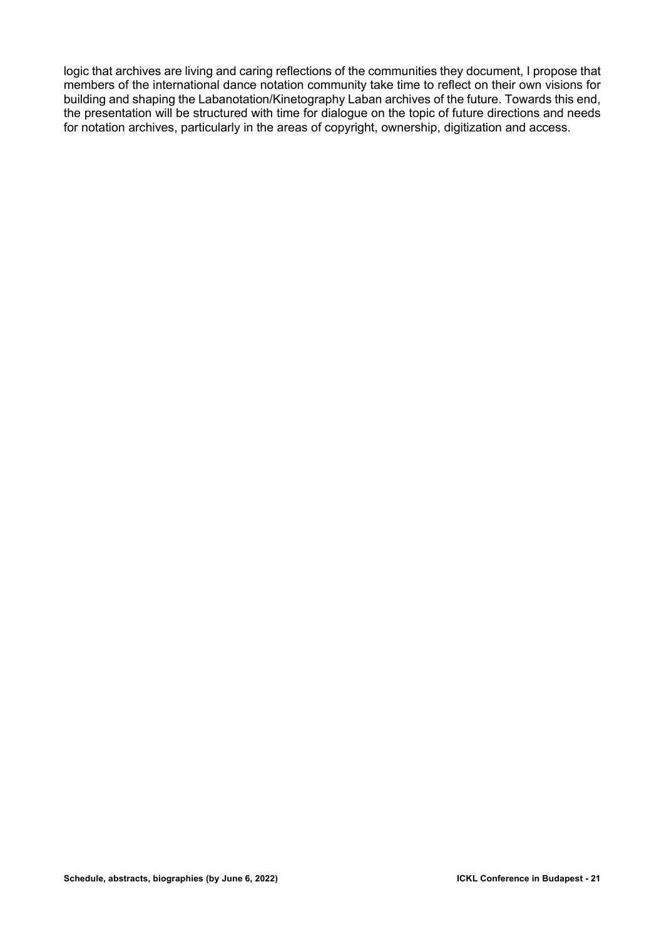logic that archives are living and caring reflections of the communities they document, I propose that members of the international dance notation community take time to reflect on their own visions for building and shaping the Labanotation/Kinetography Laban archives of the future. Towards this end, the presentation will be structured with time for dialogue on the topic of future directions and needs for notation archives, particularly in the areas of copyright, ownership, digitization and access.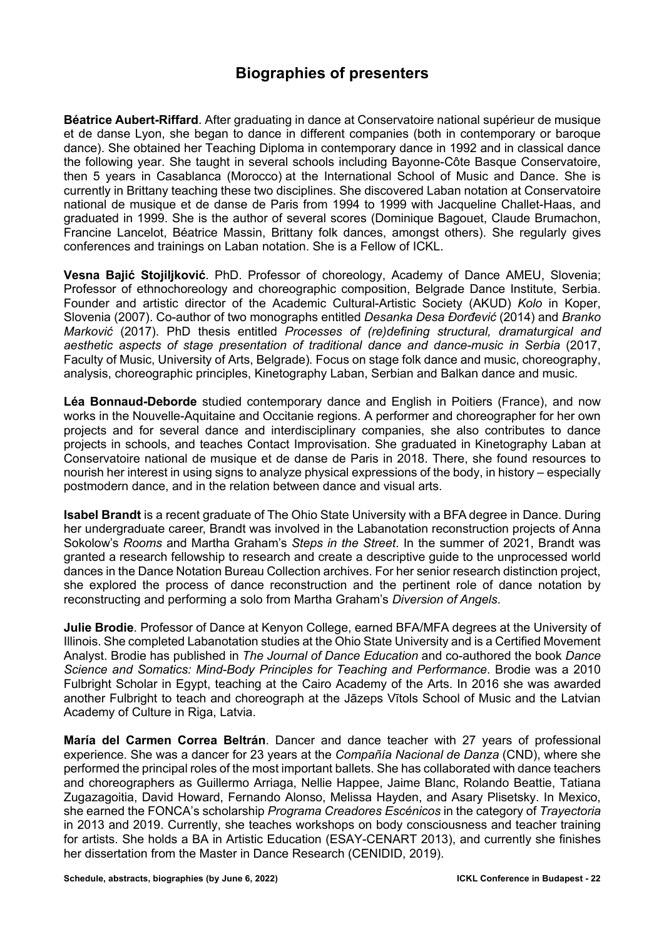## **Biographies of presenters**

**Béatrice Aubert-Riffard**. After graduating in dance at Conservatoire national supérieur de musique et de danse Lyon, she began to dance in different companies (both in contemporary or baroque dance). She obtained her Teaching Diploma in contemporary dance in 1992 and in classical dance the following year. She taught in several schools including Bayonne-Côte Basque Conservatoire, then 5 years in Casablanca (Morocco) at the International School of Music and Dance. She is currently in Brittany teaching these two disciplines. She discovered Laban notation at Conservatoire national de musique et de danse de Paris from 1994 to 1999 with Jacqueline Challet-Haas, and graduated in 1999. She is the author of several scores (Dominique Bagouet, Claude Brumachon, Francine Lancelot, Béatrice Massin, Brittany folk dances, amongst others). She regularly gives conferences and trainings on Laban notation. She is a Fellow of ICKL.

**Vesna Bajić Stojiljković**. PhD. Professor of choreology, Academy of Dance AMEU, Slovenia; Professor of ethnochoreology and choreographic composition, Belgrade Dance Institute, Serbia. Founder and artistic director of the Academic Cultural-Artistic Society (AKUD) *Kolo* in Koper, Slovenia (2007). Co-author of two monographs entitled *Desanka Desa Đorđević* (2014) and *Branko Marković* (2017). PhD thesis entitled *Processes of (re)defining structural, dramaturgical and*  aesthetic aspects of stage presentation of traditional dance and dance-music in Serbia (2017, Faculty of Music, University of Arts, Belgrade)*.* Focus on stage folk dance and music, choreography, analysis, choreographic principles, Kinetography Laban, Serbian and Balkan dance and music.

**Léa Bonnaud-Deborde** studied contemporary dance and English in Poitiers (France), and now works in the Nouvelle-Aquitaine and Occitanie regions. A performer and choreographer for her own projects and for several dance and interdisciplinary companies, she also contributes to dance projects in schools, and teaches Contact Improvisation. She graduated in Kinetography Laban at Conservatoire national de musique et de danse de Paris in 2018. There, she found resources to nourish her interest in using signs to analyze physical expressions of the body, in history – especially postmodern dance, and in the relation between dance and visual arts.

**Isabel Brandt** is a recent graduate of The Ohio State University with a BFA degree in Dance. During her undergraduate career, Brandt was involved in the Labanotation reconstruction projects of Anna Sokolow's *Rooms* and Martha Graham's *Steps in the Street*. In the summer of 2021, Brandt was granted a research fellowship to research and create a descriptive guide to the unprocessed world dances in the Dance Notation Bureau Collection archives. For her senior research distinction project, she explored the process of dance reconstruction and the pertinent role of dance notation by reconstructing and performing a solo from Martha Graham's *Diversion of Angels*.

**Julie Brodie**. Professor of Dance at Kenyon College, earned BFA/MFA degrees at the University of Illinois. She completed Labanotation studies at the Ohio State University and is a Certified Movement Analyst. Brodie has published in *The Journal of Dance Education* and co-authored the book *Dance Science and Somatics: Mind-Body Principles for Teaching and Performance*. Brodie was a 2010 Fulbright Scholar in Egypt, teaching at the Cairo Academy of the Arts. In 2016 she was awarded another Fulbright to teach and choreograph at the Jāzeps Vītols School of Music and the Latvian Academy of Culture in Riga, Latvia.

**María del Carmen Correa Beltrán**. Dancer and dance teacher with 27 years of professional experience. She was a dancer for 23 years at the *Compañía Nacional de Danza* (CND), where she performed the principal roles of the most important ballets. She has collaborated with dance teachers and choreographers as Guillermo Arriaga, Nellie Happee, Jaime Blanc, Rolando Beattie, Tatiana Zugazagoitia, David Howard, Fernando Alonso, Melissa Hayden, and Asary Plisetsky. In Mexico, she earned the FONCA's scholarship *Programa Creadores Escénicos* in the category of *Trayectoria* in 2013 and 2019. Currently, she teaches workshops on body consciousness and teacher training for artists. She holds a BA in Artistic Education (ESAY-CENART 2013), and currently she finishes her dissertation from the Master in Dance Research (CENIDID, 2019).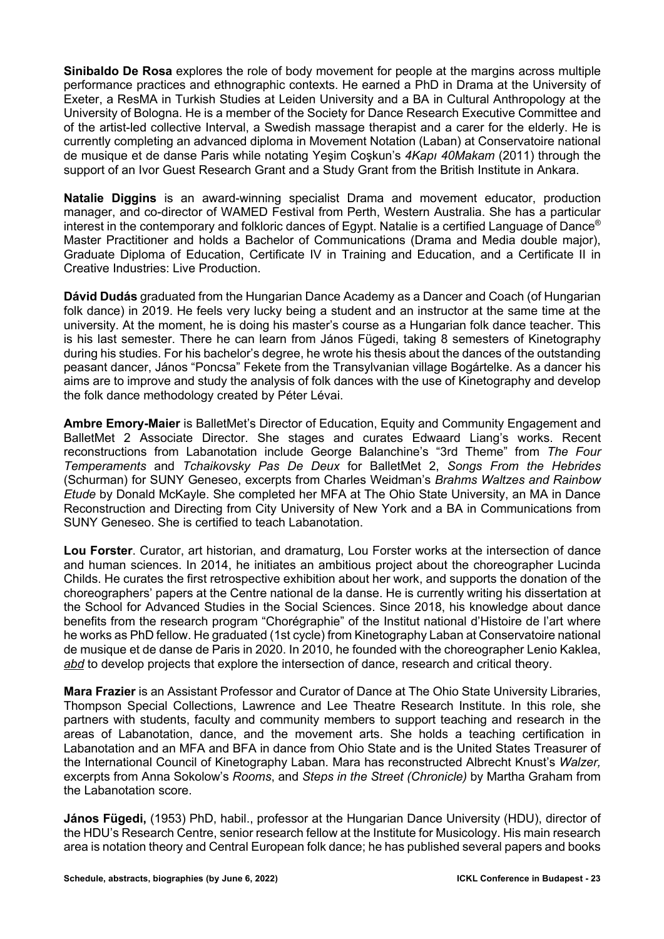**Sinibaldo De Rosa** explores the role of body movement for people at the margins across multiple performance practices and ethnographic contexts. He earned a PhD in Drama at the University of Exeter, a ResMA in Turkish Studies at Leiden University and a BA in Cultural Anthropology at the University of Bologna. He is a member of the Society for Dance Research Executive Committee and of the artist-led collective Interval, a Swedish massage therapist and a carer for the elderly. He is currently completing an advanced diploma in Movement Notation (Laban) at Conservatoire national de musique et de danse Paris while notating Yeşim Coşkun's *4Kapı 40Makam* (2011) through the support of an Ivor Guest Research Grant and a Study Grant from the British Institute in Ankara.

**Natalie Diggins** is an award-winning specialist Drama and movement educator, production manager, and co-director of WAMED Festival from Perth, Western Australia. She has a particular interest in the contemporary and folkloric dances of Egypt. Natalie is a certified Language of Dance® Master Practitioner and holds a Bachelor of Communications (Drama and Media double major), Graduate Diploma of Education, Certificate IV in Training and Education, and a Certificate II in Creative Industries: Live Production.

**Dávid Dudás** graduated from the Hungarian Dance Academy as a Dancer and Coach (of Hungarian folk dance) in 2019. He feels very lucky being a student and an instructor at the same time at the university. At the moment, he is doing his master's course as a Hungarian folk dance teacher. This is his last semester. There he can learn from János Fügedi, taking 8 semesters of Kinetography during his studies. For his bachelor's degree, he wrote his thesis about the dances of the outstanding peasant dancer, János "Poncsa" Fekete from the Transylvanian village Bogártelke. As a dancer his aims are to improve and study the analysis of folk dances with the use of Kinetography and develop the folk dance methodology created by Péter Lévai.

**Ambre Emory-Maier** is BalletMet's Director of Education, Equity and Community Engagement and BalletMet 2 Associate Director. She stages and curates Edwaard Liang's works. Recent reconstructions from Labanotation include George Balanchine's "3rd Theme" from *The Four Temperaments* and *Tchaikovsky Pas De Deux* for BalletMet 2, *Songs From the Hebrides* (Schurman) for SUNY Geneseo, excerpts from Charles Weidman's *Brahms Waltzes and Rainbow Etude* by Donald McKayle. She completed her MFA at The Ohio State University, an MA in Dance Reconstruction and Directing from City University of New York and a BA in Communications from SUNY Geneseo. She is certified to teach Labanotation.

**Lou Forster**. Curator, art historian, and dramaturg, Lou Forster works at the intersection of dance and human sciences. In 2014, he initiates an ambitious project about the choreographer Lucinda Childs. He curates the first retrospective exhibition about her work, and supports the donation of the choreographers' papers at the Centre national de la danse. He is currently writing his dissertation at the School for Advanced Studies in the Social Sciences. Since 2018, his knowledge about dance benefits from the research program "Chorégraphie" of the Institut national d'Histoire de l'art where he works as PhD fellow. He graduated (1st cycle) from Kinetography Laban at Conservatoire national de musique et de danse de Paris in 2020. In 2010, he founded with the choreographer Lenio Kaklea, *abd* to develop projects that explore the intersection of dance, research and critical theory.

**Mara Frazier** is an Assistant Professor and Curator of Dance at The Ohio State University Libraries, Thompson Special Collections, Lawrence and Lee Theatre Research Institute. In this role, she partners with students, faculty and community members to support teaching and research in the areas of Labanotation, dance, and the movement arts. She holds a teaching certification in Labanotation and an MFA and BFA in dance from Ohio State and is the United States Treasurer of the International Council of Kinetography Laban. Mara has reconstructed Albrecht Knust's *Walzer,*  excerpts from Anna Sokolow's *Rooms*, and *Steps in the Street (Chronicle)* by Martha Graham from the Labanotation score.

**János Fügedi,** (1953) PhD, habil., professor at the Hungarian Dance University (HDU), director of the HDU's Research Centre, senior research fellow at the Institute for Musicology. His main research area is notation theory and Central European folk dance; he has published several papers and books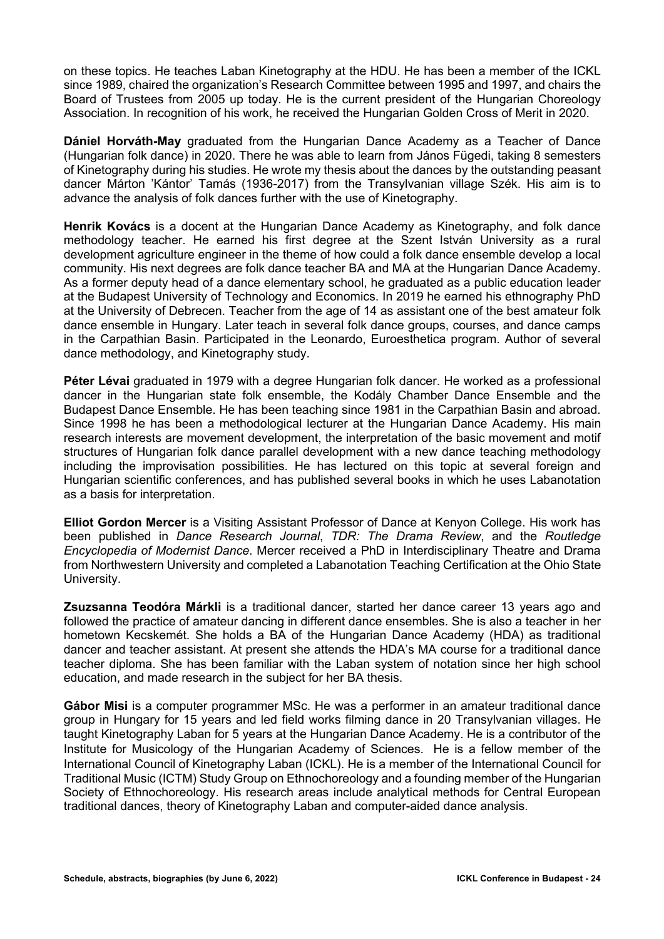on these topics. He teaches Laban Kinetography at the HDU. He has been a member of the ICKL since 1989, chaired the organization's Research Committee between 1995 and 1997, and chairs the Board of Trustees from 2005 up today. He is the current president of the Hungarian Choreology Association. In recognition of his work, he received the Hungarian Golden Cross of Merit in 2020.

**Dániel Horváth-May** graduated from the Hungarian Dance Academy as a Teacher of Dance (Hungarian folk dance) in 2020. There he was able to learn from János Fügedi, taking 8 semesters of Kinetography during his studies. He wrote my thesis about the dances by the outstanding peasant dancer Márton 'Kántor' Tamás (1936-2017) from the Transylvanian village Szék. His aim is to advance the analysis of folk dances further with the use of Kinetography.

**Henrik Kovács** is a docent at the Hungarian Dance Academy as Kinetography, and folk dance methodology teacher. He earned his first degree at the Szent István University as a rural development agriculture engineer in the theme of how could a folk dance ensemble develop a local community. His next degrees are folk dance teacher BA and MA at the Hungarian Dance Academy. As a former deputy head of a dance elementary school, he graduated as a public education leader at the Budapest University of Technology and Economics. In 2019 he earned his ethnography PhD at the University of Debrecen. Teacher from the age of 14 as assistant one of the best amateur folk dance ensemble in Hungary. Later teach in several folk dance groups, courses, and dance camps in the Carpathian Basin. Participated in the Leonardo, Euroesthetica program. Author of several dance methodology, and Kinetography study.

**Péter Lévai** graduated in 1979 with a degree Hungarian folk dancer. He worked as a professional dancer in the Hungarian state folk ensemble, the Kodály Chamber Dance Ensemble and the Budapest Dance Ensemble. He has been teaching since 1981 in the Carpathian Basin and abroad. Since 1998 he has been a methodological lecturer at the Hungarian Dance Academy. His main research interests are movement development, the interpretation of the basic movement and motif structures of Hungarian folk dance parallel development with a new dance teaching methodology including the improvisation possibilities. He has lectured on this topic at several foreign and Hungarian scientific conferences, and has published several books in which he uses Labanotation as a basis for interpretation.

**Elliot Gordon Mercer** is a Visiting Assistant Professor of Dance at Kenyon College. His work has been published in *Dance Research Journal*, *TDR: The Drama Review*, and the *Routledge Encyclopedia of Modernist Dance*. Mercer received a PhD in Interdisciplinary Theatre and Drama from Northwestern University and completed a Labanotation Teaching Certification at the Ohio State University.

**Zsuzsanna Teodóra Márkli** is a traditional dancer, started her dance career 13 years ago and followed the practice of amateur dancing in different dance ensembles. She is also a teacher in her hometown Kecskemét. She holds a BA of the Hungarian Dance Academy (HDA) as traditional dancer and teacher assistant. At present she attends the HDA's MA course for a traditional dance teacher diploma. She has been familiar with the Laban system of notation since her high school education, and made research in the subject for her BA thesis.

**Gábor Misi** is a computer programmer MSc. He was a performer in an amateur traditional dance group in Hungary for 15 years and led field works filming dance in 20 Transylvanian villages. He taught Kinetography Laban for 5 years at the Hungarian Dance Academy. He is a contributor of the Institute for Musicology of the Hungarian Academy of Sciences. He is a fellow member of the International Council of Kinetography Laban (ICKL). He is a member of the International Council for Traditional Music (ICTM) Study Group on Ethnochoreology and a founding member of the Hungarian Society of Ethnochoreology. His research areas include analytical methods for Central European traditional dances, theory of Kinetography Laban and computer-aided dance analysis.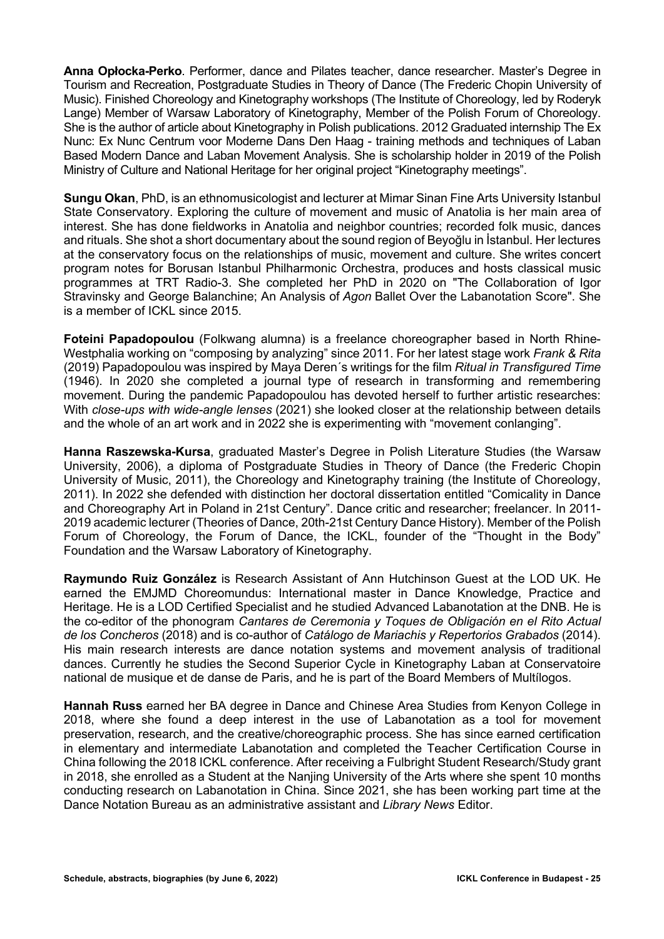**Anna Opłocka-Perko**. Performer, dance and Pilates teacher, dance researcher. Master's Degree in Tourism and Recreation, Postgraduate Studies in Theory of Dance (The Frederic Chopin University of Music). Finished Choreology and Kinetography workshops (The Institute of Choreology, led by Roderyk Lange) Member of Warsaw Laboratory of Kinetography, Member of the Polish Forum of Choreology. She is the author of article about Kinetography in Polish publications. 2012 Graduated internship The Ex Nunc: Ex Nunc Centrum voor Moderne Dans Den Haag - training methods and techniques of Laban Based Modern Dance and Laban Movement Analysis. She is scholarship holder in 2019 of the Polish Ministry of Culture and National Heritage for her original project "Kinetography meetings".

**Sungu Okan**, PhD, is an ethnomusicologist and lecturer at Mimar Sinan Fine Arts University Istanbul State Conservatory. Exploring the culture of movement and music of Anatolia is her main area of interest. She has done fieldworks in Anatolia and neighbor countries; recorded folk music, dances and rituals. She shot a short documentary about the sound region of Beyoğlu in İstanbul. Her lectures at the conservatory focus on the relationships of music, movement and culture. She writes concert program notes for Borusan Istanbul Philharmonic Orchestra, produces and hosts classical music programmes at TRT Radio-3. She completed her PhD in 2020 on "The Collaboration of Igor Stravinsky and George Balanchine; An Analysis of *Agon* Ballet Over the Labanotation Score". She is a member of ICKL since 2015.

**Foteini Papadopoulou** (Folkwang alumna) is a freelance choreographer based in North Rhine-Westphalia working on "composing by analyzing" since 2011. For her latest stage work *Frank & Rita* (2019) Papadopoulou was inspired by Maya Deren´s writings for the film *Ritual in Transfigured Time* (1946). In 2020 she completed a journal type of research in transforming and remembering movement. During the pandemic Papadopoulou has devoted herself to further artistic researches: With *close-ups with wide-angle lenses* (2021) she looked closer at the relationship between details and the whole of an art work and in 2022 she is experimenting with "movement conlanging".

**Hanna Raszewska-Kursa**, graduated Master's Degree in Polish Literature Studies (the Warsaw University, 2006), a diploma of Postgraduate Studies in Theory of Dance (the Frederic Chopin University of Music, 2011), the Choreology and Kinetography training (the Institute of Choreology, 2011). In 2022 she defended with distinction her doctoral dissertation entitled "Comicality in Dance and Choreography Art in Poland in 21st Century". Dance critic and researcher; freelancer. In 2011- 2019 academic lecturer (Theories of Dance, 20th-21st Century Dance History). Member of the Polish Forum of Choreology, the Forum of Dance, the ICKL, founder of the "Thought in the Body" Foundation and the Warsaw Laboratory of Kinetography.

**Raymundo Ruiz González** is Research Assistant of Ann Hutchinson Guest at the LOD UK. He earned the EMJMD Choreomundus: International master in Dance Knowledge, Practice and Heritage. He is a LOD Certified Specialist and he studied Advanced Labanotation at the DNB. He is the co-editor of the phonogram *Cantares de Ceremonia y Toques de Obligación en el Rito Actual de los Concheros* (2018) and is co-author of *Catálogo de Mariachis y Repertorios Grabados* (2014). His main research interests are dance notation systems and movement analysis of traditional dances. Currently he studies the Second Superior Cycle in Kinetography Laban at Conservatoire national de musique et de danse de Paris, and he is part of the Board Members of Multílogos.

**Hannah Russ** earned her BA degree in Dance and Chinese Area Studies from Kenyon College in 2018, where she found a deep interest in the use of Labanotation as a tool for movement preservation, research, and the creative/choreographic process. She has since earned certification in elementary and intermediate Labanotation and completed the Teacher Certification Course in China following the 2018 ICKL conference. After receiving a Fulbright Student Research/Study grant in 2018, she enrolled as a Student at the Nanjing University of the Arts where she spent 10 months conducting research on Labanotation in China. Since 2021, she has been working part time at the Dance Notation Bureau as an administrative assistant and *Library News* Editor.